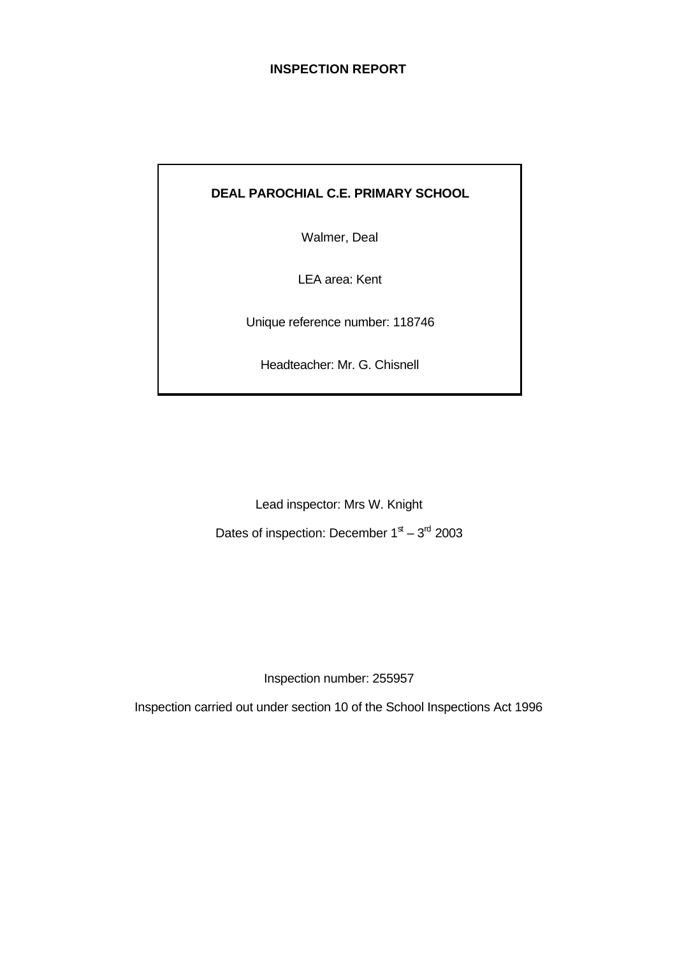### **INSPECTION REPORT**

# **DEAL PAROCHIAL C.E. PRIMARY SCHOOL**

Walmer, Deal

LEA area: Kent

Unique reference number: 118746

Headteacher: Mr. G. Chisnell

Lead inspector: Mrs W. Knight Dates of inspection: December  $1<sup>st</sup> - 3<sup>rd</sup>$  2003

Inspection number: 255957

Inspection carried out under section 10 of the School Inspections Act 1996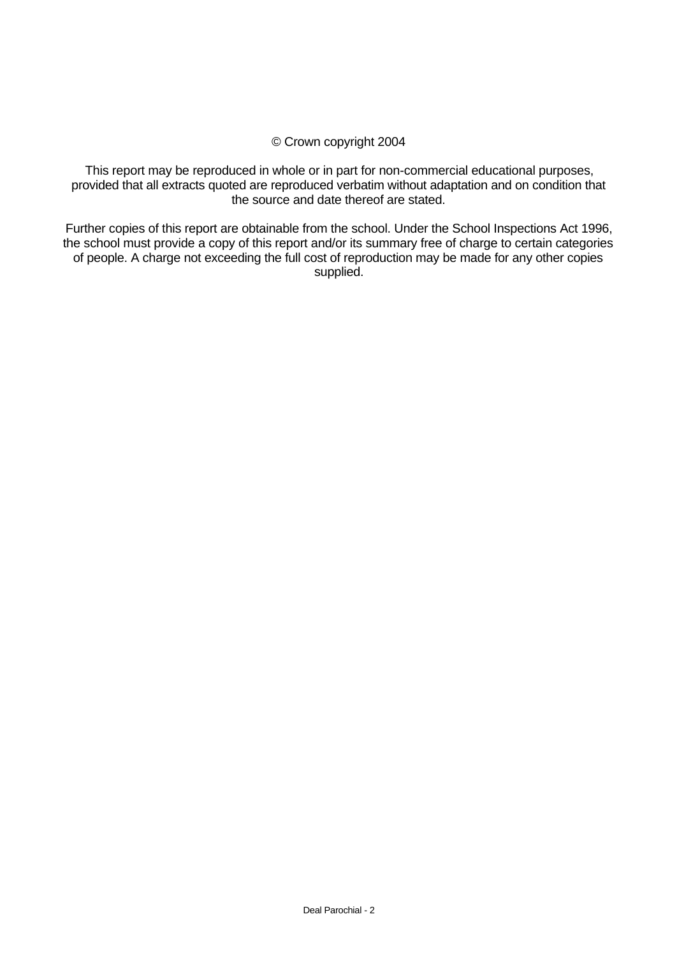### © Crown copyright 2004

This report may be reproduced in whole or in part for non-commercial educational purposes, provided that all extracts quoted are reproduced verbatim without adaptation and on condition that the source and date thereof are stated.

Further copies of this report are obtainable from the school. Under the School Inspections Act 1996, the school must provide a copy of this report and/or its summary free of charge to certain categories of people. A charge not exceeding the full cost of reproduction may be made for any other copies supplied.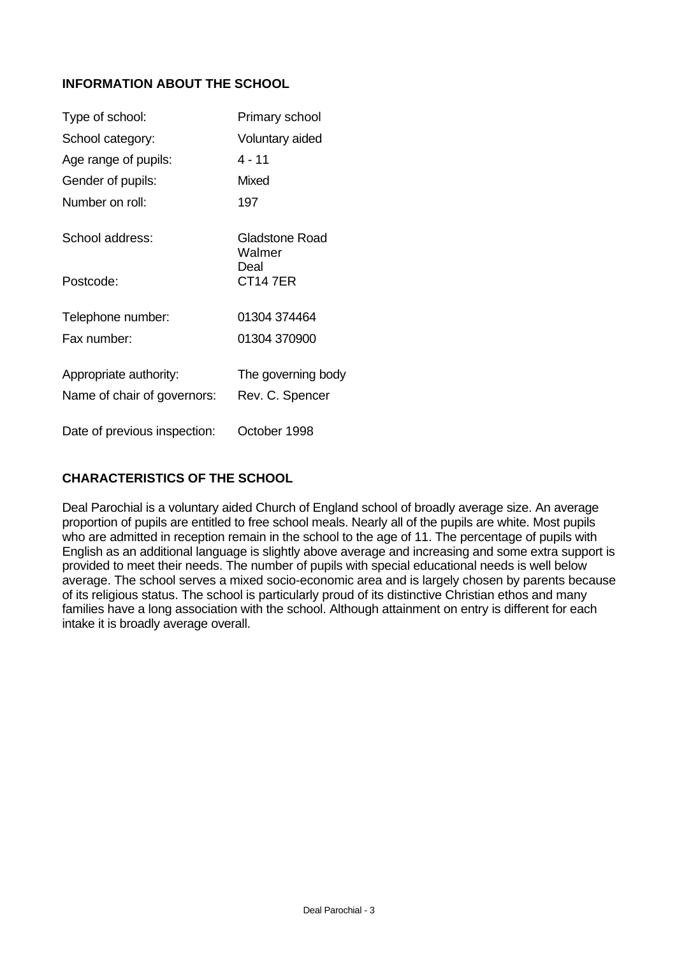## **INFORMATION ABOUT THE SCHOOL**

| Type of school:                                       | Primary school                        |
|-------------------------------------------------------|---------------------------------------|
| School category:                                      | Voluntary aided                       |
| Age range of pupils:                                  | 4 - 11                                |
| Gender of pupils:                                     | Mixed                                 |
| Number on roll:                                       | 197                                   |
| School address:                                       | Gladstone Road<br>Walmer              |
| Postcode:                                             | Deal<br>CT147ER                       |
| Telephone number:                                     | 01304 374464                          |
| Fax number:                                           | 01304 370900                          |
| Appropriate authority:<br>Name of chair of governors: | The governing body<br>Rev. C. Spencer |
| Date of previous inspection:                          | October 1998                          |

# **CHARACTERISTICS OF THE SCHOOL**

Deal Parochial is a voluntary aided Church of England school of broadly average size. An average proportion of pupils are entitled to free school meals. Nearly all of the pupils are white. Most pupils who are admitted in reception remain in the school to the age of 11. The percentage of pupils with English as an additional language is slightly above average and increasing and some extra support is provided to meet their needs. The number of pupils with special educational needs is well below average. The school serves a mixed socio-economic area and is largely chosen by parents because of its religious status. The school is particularly proud of its distinctive Christian ethos and many families have a long association with the school. Although attainment on entry is different for each intake it is broadly average overall.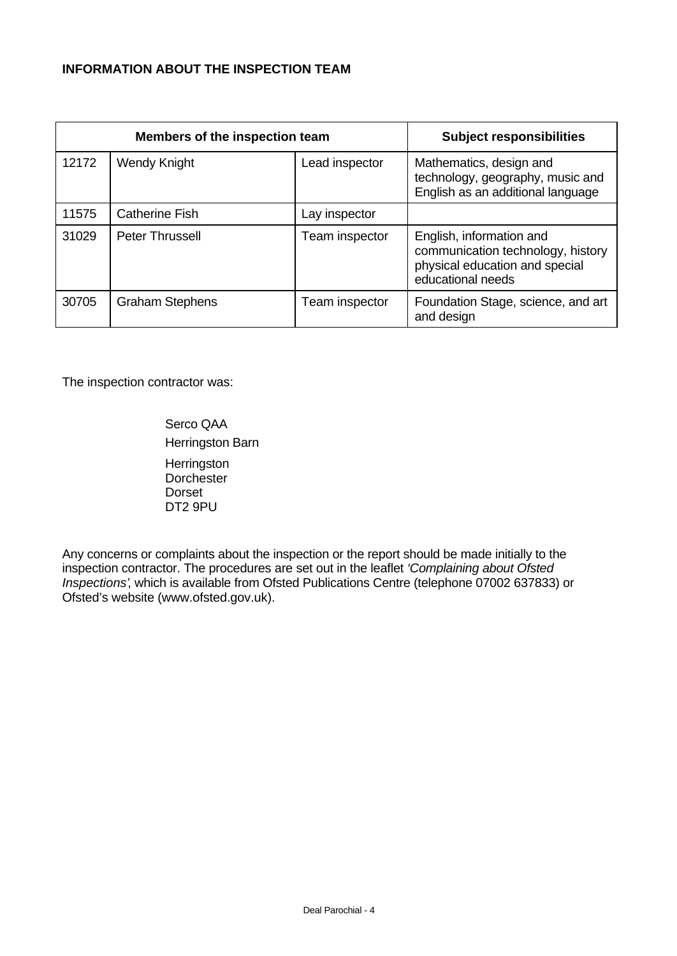## **INFORMATION ABOUT THE INSPECTION TEAM**

|       | Members of the inspection team |                | <b>Subject responsibilities</b>                                                                                      |
|-------|--------------------------------|----------------|----------------------------------------------------------------------------------------------------------------------|
| 12172 | <b>Wendy Knight</b>            | Lead inspector | Mathematics, design and<br>technology, geography, music and<br>English as an additional language                     |
| 11575 | <b>Catherine Fish</b>          | Lay inspector  |                                                                                                                      |
| 31029 | <b>Peter Thrussell</b>         | Team inspector | English, information and<br>communication technology, history<br>physical education and special<br>educational needs |
| 30705 | <b>Graham Stephens</b>         | Team inspector | Foundation Stage, science, and art<br>and design                                                                     |

The inspection contractor was:

Serco QAA Herringston Barn **Herringston Dorchester** Dorset DT2 9PU

Any concerns or complaints about the inspection or the report should be made initially to the inspection contractor. The procedures are set out in the leaflet *'Complaining about Ofsted Inspections'*, which is available from Ofsted Publications Centre (telephone 07002 637833) or Ofsted's website (www.ofsted.gov.uk).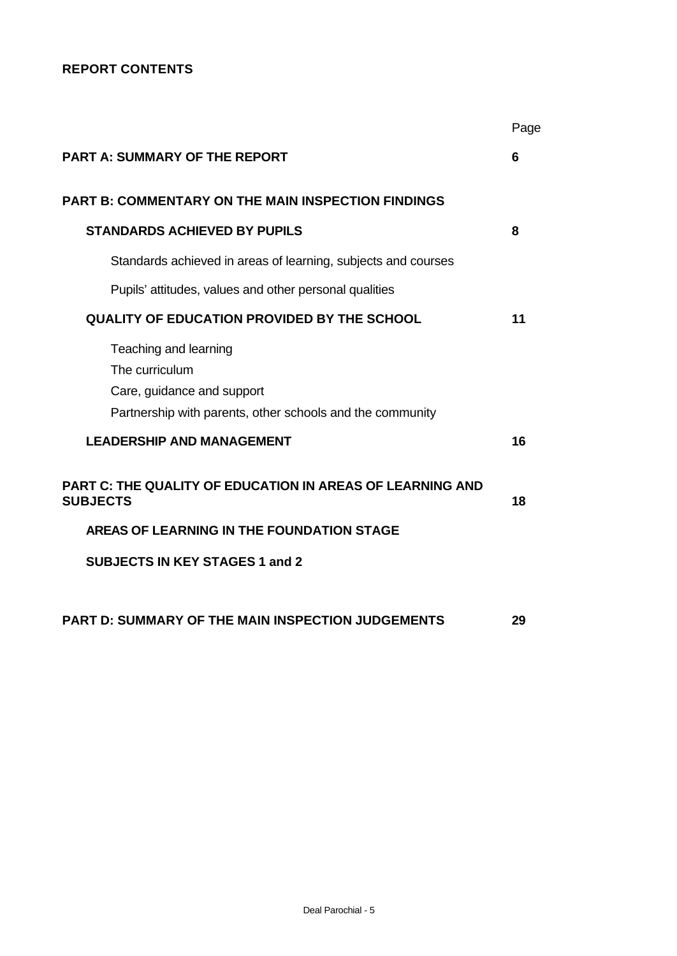## **REPORT CONTENTS**

|                                                                                                                                    | Page |
|------------------------------------------------------------------------------------------------------------------------------------|------|
| <b>PART A: SUMMARY OF THE REPORT</b>                                                                                               | 6    |
| <b>PART B: COMMENTARY ON THE MAIN INSPECTION FINDINGS</b>                                                                          |      |
| <b>STANDARDS ACHIEVED BY PUPILS</b>                                                                                                | 8    |
| Standards achieved in areas of learning, subjects and courses                                                                      |      |
| Pupils' attitudes, values and other personal qualities                                                                             |      |
| <b>QUALITY OF EDUCATION PROVIDED BY THE SCHOOL</b>                                                                                 | 11   |
| Teaching and learning<br>The curriculum<br>Care, guidance and support<br>Partnership with parents, other schools and the community |      |
| <b>LEADERSHIP AND MANAGEMENT</b>                                                                                                   | 16   |
| <b>PART C: THE QUALITY OF EDUCATION IN AREAS OF LEARNING AND</b><br><b>SUBJECTS</b>                                                | 18   |
| AREAS OF LEARNING IN THE FOUNDATION STAGE                                                                                          |      |
| <b>SUBJECTS IN KEY STAGES 1 and 2</b>                                                                                              |      |
| <b>PART D: SUMMARY OF THE MAIN INSPECTION JUDGEMENTS</b>                                                                           | 29   |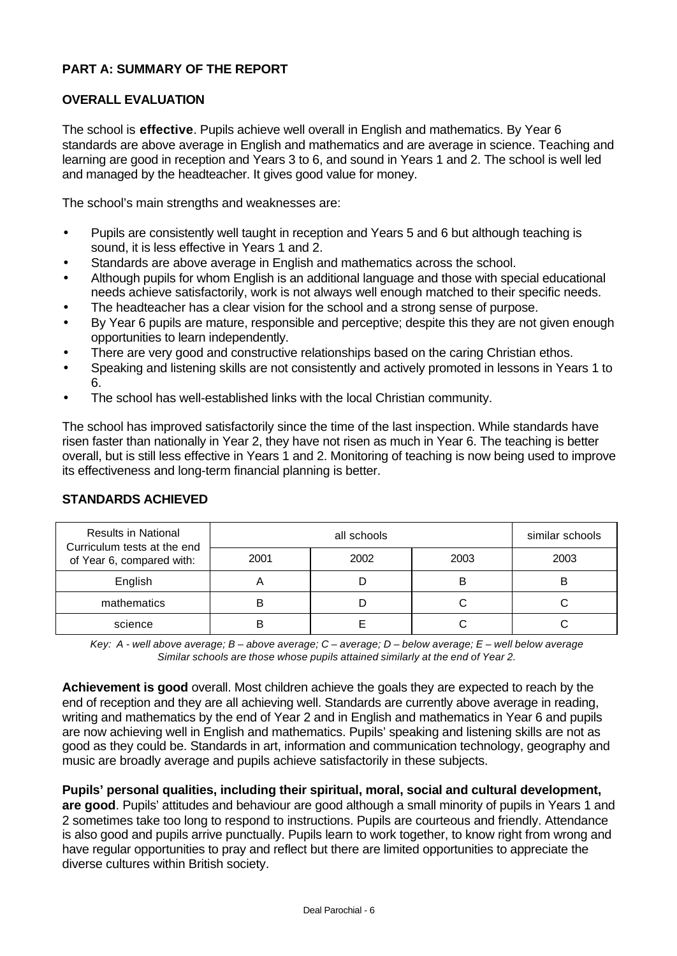### **PART A: SUMMARY OF THE REPORT**

#### **OVERALL EVALUATION**

The school is **effective**. Pupils achieve well overall in English and mathematics. By Year 6 standards are above average in English and mathematics and are average in science. Teaching and learning are good in reception and Years 3 to 6, and sound in Years 1 and 2. The school is well led and managed by the headteacher. It gives good value for money.

The school's main strengths and weaknesses are:

- Pupils are consistently well taught in reception and Years 5 and 6 but although teaching is sound, it is less effective in Years 1 and 2.
- Standards are above average in English and mathematics across the school.
- Although pupils for whom English is an additional language and those with special educational needs achieve satisfactorily, work is not always well enough matched to their specific needs.
- The headteacher has a clear vision for the school and a strong sense of purpose.
- By Year 6 pupils are mature, responsible and perceptive; despite this they are not given enough opportunities to learn independently.
- There are very good and constructive relationships based on the caring Christian ethos.
- Speaking and listening skills are not consistently and actively promoted in lessons in Years 1 to 6.
- The school has well-established links with the local Christian community.

The school has improved satisfactorily since the time of the last inspection. While standards have risen faster than nationally in Year 2, they have not risen as much in Year 6. The teaching is better overall, but is still less effective in Years 1 and 2. Monitoring of teaching is now being used to improve its effectiveness and long-term financial planning is better.

| <b>Results in National</b><br>Curriculum tests at the end |      | similar schools |      |      |
|-----------------------------------------------------------|------|-----------------|------|------|
| of Year 6, compared with:                                 | 2001 | 2002            | 2003 | 2003 |
| English                                                   |      |                 | B    | B    |
| mathematics                                               |      |                 |      |      |
| science                                                   |      |                 |      |      |

#### **STANDARDS ACHIEVED**

*Key: A - well above average; B – above average; C – average; D – below average; E – well below average Similar schools are those whose pupils attained similarly at the end of Year 2.*

**Achievement is good** overall. Most children achieve the goals they are expected to reach by the end of reception and they are all achieving well. Standards are currently above average in reading, writing and mathematics by the end of Year 2 and in English and mathematics in Year 6 and pupils are now achieving well in English and mathematics. Pupils' speaking and listening skills are not as good as they could be. Standards in art, information and communication technology, geography and music are broadly average and pupils achieve satisfactorily in these subjects.

**Pupils' personal qualities, including their spiritual, moral, social and cultural development,**

**are good**. Pupils' attitudes and behaviour are good although a small minority of pupils in Years 1 and 2 sometimes take too long to respond to instructions. Pupils are courteous and friendly. Attendance is also good and pupils arrive punctually. Pupils learn to work together, to know right from wrong and have regular opportunities to pray and reflect but there are limited opportunities to appreciate the diverse cultures within British society.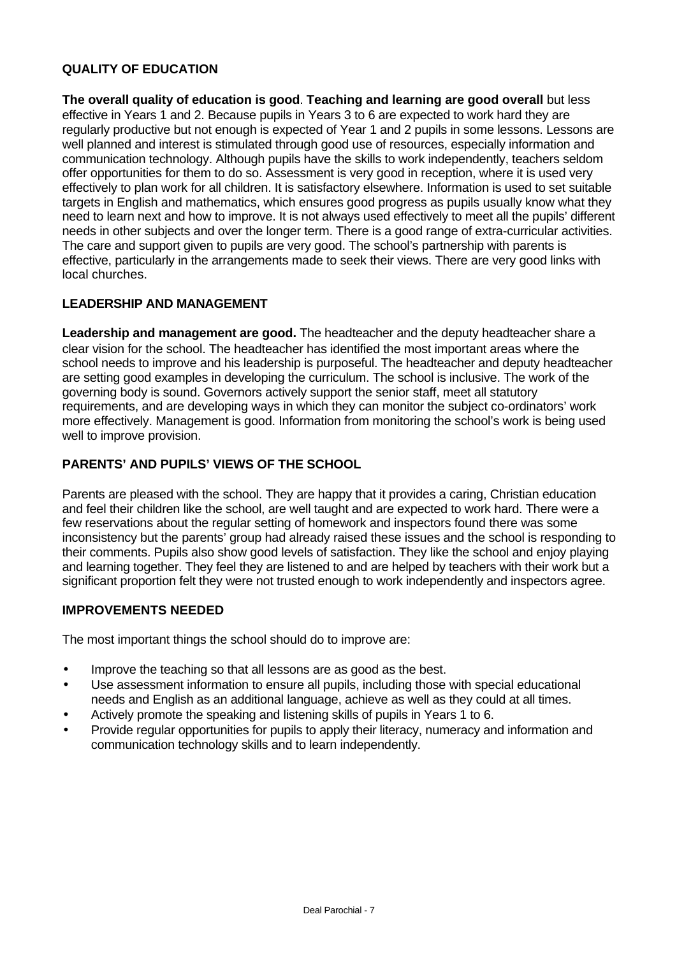### **QUALITY OF EDUCATION**

**The overall quality of education is good**. **Teaching and learning are good overall** but less effective in Years 1 and 2. Because pupils in Years 3 to 6 are expected to work hard they are regularly productive but not enough is expected of Year 1 and 2 pupils in some lessons. Lessons are well planned and interest is stimulated through good use of resources, especially information and communication technology. Although pupils have the skills to work independently, teachers seldom offer opportunities for them to do so. Assessment is very good in reception, where it is used very effectively to plan work for all children. It is satisfactory elsewhere. Information is used to set suitable targets in English and mathematics, which ensures good progress as pupils usually know what they need to learn next and how to improve. It is not always used effectively to meet all the pupils' different needs in other subjects and over the longer term. There is a good range of extra-curricular activities. The care and support given to pupils are very good. The school's partnership with parents is effective, particularly in the arrangements made to seek their views. There are very good links with local churches.

### **LEADERSHIP AND MANAGEMENT**

**Leadership and management are good.** The headteacher and the deputy headteacher share a clear vision for the school. The headteacher has identified the most important areas where the school needs to improve and his leadership is purposeful. The headteacher and deputy headteacher are setting good examples in developing the curriculum. The school is inclusive. The work of the governing body is sound. Governors actively support the senior staff, meet all statutory requirements, and are developing ways in which they can monitor the subject co-ordinators' work more effectively. Management is good. Information from monitoring the school's work is being used well to improve provision.

### **PARENTS' AND PUPILS' VIEWS OF THE SCHOOL**

Parents are pleased with the school. They are happy that it provides a caring, Christian education and feel their children like the school, are well taught and are expected to work hard. There were a few reservations about the regular setting of homework and inspectors found there was some inconsistency but the parents' group had already raised these issues and the school is responding to their comments. Pupils also show good levels of satisfaction. They like the school and enjoy playing and learning together. They feel they are listened to and are helped by teachers with their work but a significant proportion felt they were not trusted enough to work independently and inspectors agree.

#### **IMPROVEMENTS NEEDED**

The most important things the school should do to improve are:

- Improve the teaching so that all lessons are as good as the best.
- Use assessment information to ensure all pupils, including those with special educational needs and English as an additional language, achieve as well as they could at all times.
- Actively promote the speaking and listening skills of pupils in Years 1 to 6.
- Provide regular opportunities for pupils to apply their literacy, numeracy and information and communication technology skills and to learn independently.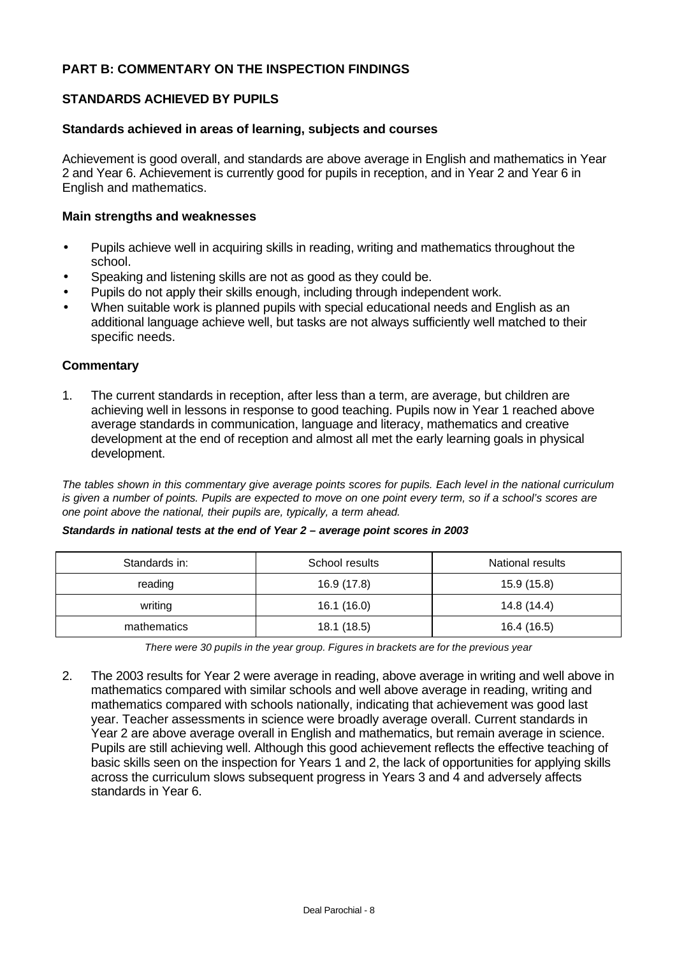### **PART B: COMMENTARY ON THE INSPECTION FINDINGS**

### **STANDARDS ACHIEVED BY PUPILS**

#### **Standards achieved in areas of learning, subjects and courses**

Achievement is good overall, and standards are above average in English and mathematics in Year 2 and Year 6. Achievement is currently good for pupils in reception, and in Year 2 and Year 6 in English and mathematics.

#### **Main strengths and weaknesses**

- Pupils achieve well in acquiring skills in reading, writing and mathematics throughout the school.
- Speaking and listening skills are not as good as they could be.
- Pupils do not apply their skills enough, including through independent work.
- When suitable work is planned pupils with special educational needs and English as an additional language achieve well, but tasks are not always sufficiently well matched to their specific needs.

#### **Commentary**

1. The current standards in reception, after less than a term, are average, but children are achieving well in lessons in response to good teaching. Pupils now in Year 1 reached above average standards in communication, language and literacy, mathematics and creative development at the end of reception and almost all met the early learning goals in physical development.

*The tables shown in this commentary give average points scores for pupils. Each level in the national curriculum is given a number of points. Pupils are expected to move on one point every term, so if a school's scores are one point above the national, their pupils are, typically, a term ahead.*

| Standards in: | School results | National results |
|---------------|----------------|------------------|
| reading       | 16.9 (17.8)    | 15.9 (15.8)      |
| writing       | 16.1 (16.0)    | 14.8 (14.4)      |
| mathematics   | 18.1 (18.5)    | 16.4 (16.5)      |

#### *Standards in national tests at the end of Year 2 – average point scores in 2003*

*There were 30 pupils in the year group. Figures in brackets are for the previous year*

2. The 2003 results for Year 2 were average in reading, above average in writing and well above in mathematics compared with similar schools and well above average in reading, writing and mathematics compared with schools nationally, indicating that achievement was good last year. Teacher assessments in science were broadly average overall. Current standards in Year 2 are above average overall in English and mathematics, but remain average in science. Pupils are still achieving well. Although this good achievement reflects the effective teaching of basic skills seen on the inspection for Years 1 and 2, the lack of opportunities for applying skills across the curriculum slows subsequent progress in Years 3 and 4 and adversely affects standards in Year 6.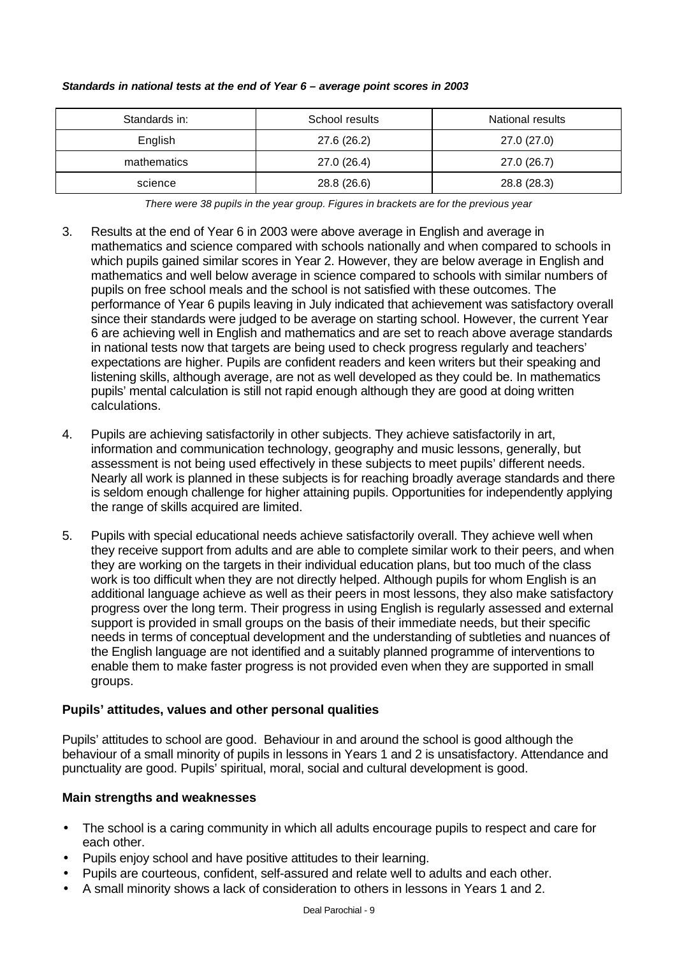| Standards in: | School results | National results |
|---------------|----------------|------------------|
| English       | 27.6 (26.2)    | 27.0 (27.0)      |
| mathematics   | 27.0 (26.4)    | 27.0 (26.7)      |
| science       | 28.8 (26.6)    | 28.8 (28.3)      |

#### *Standards in national tests at the end of Year 6 – average point scores in 2003*

*There were 38 pupils in the year group. Figures in brackets are for the previous year*

- 3. Results at the end of Year 6 in 2003 were above average in English and average in mathematics and science compared with schools nationally and when compared to schools in which pupils gained similar scores in Year 2. However, they are below average in English and mathematics and well below average in science compared to schools with similar numbers of pupils on free school meals and the school is not satisfied with these outcomes. The performance of Year 6 pupils leaving in July indicated that achievement was satisfactory overall since their standards were judged to be average on starting school. However, the current Year 6 are achieving well in English and mathematics and are set to reach above average standards in national tests now that targets are being used to check progress regularly and teachers' expectations are higher. Pupils are confident readers and keen writers but their speaking and listening skills, although average, are not as well developed as they could be. In mathematics pupils' mental calculation is still not rapid enough although they are good at doing written calculations.
- 4. Pupils are achieving satisfactorily in other subjects. They achieve satisfactorily in art, information and communication technology, geography and music lessons, generally, but assessment is not being used effectively in these subjects to meet pupils' different needs. Nearly all work is planned in these subjects is for reaching broadly average standards and there is seldom enough challenge for higher attaining pupils. Opportunities for independently applying the range of skills acquired are limited.
- 5. Pupils with special educational needs achieve satisfactorily overall. They achieve well when they receive support from adults and are able to complete similar work to their peers, and when they are working on the targets in their individual education plans, but too much of the class work is too difficult when they are not directly helped. Although pupils for whom English is an additional language achieve as well as their peers in most lessons, they also make satisfactory progress over the long term. Their progress in using English is regularly assessed and external support is provided in small groups on the basis of their immediate needs, but their specific needs in terms of conceptual development and the understanding of subtleties and nuances of the English language are not identified and a suitably planned programme of interventions to enable them to make faster progress is not provided even when they are supported in small groups.

## **Pupils' attitudes, values and other personal qualities**

Pupils' attitudes to school are good. Behaviour in and around the school is good although the behaviour of a small minority of pupils in lessons in Years 1 and 2 is unsatisfactory. Attendance and punctuality are good. Pupils' spiritual, moral, social and cultural development is good.

## **Main strengths and weaknesses**

- The school is a caring community in which all adults encourage pupils to respect and care for each other.
- Pupils enjoy school and have positive attitudes to their learning.
- Pupils are courteous, confident, self-assured and relate well to adults and each other.
- A small minority shows a lack of consideration to others in lessons in Years 1 and 2.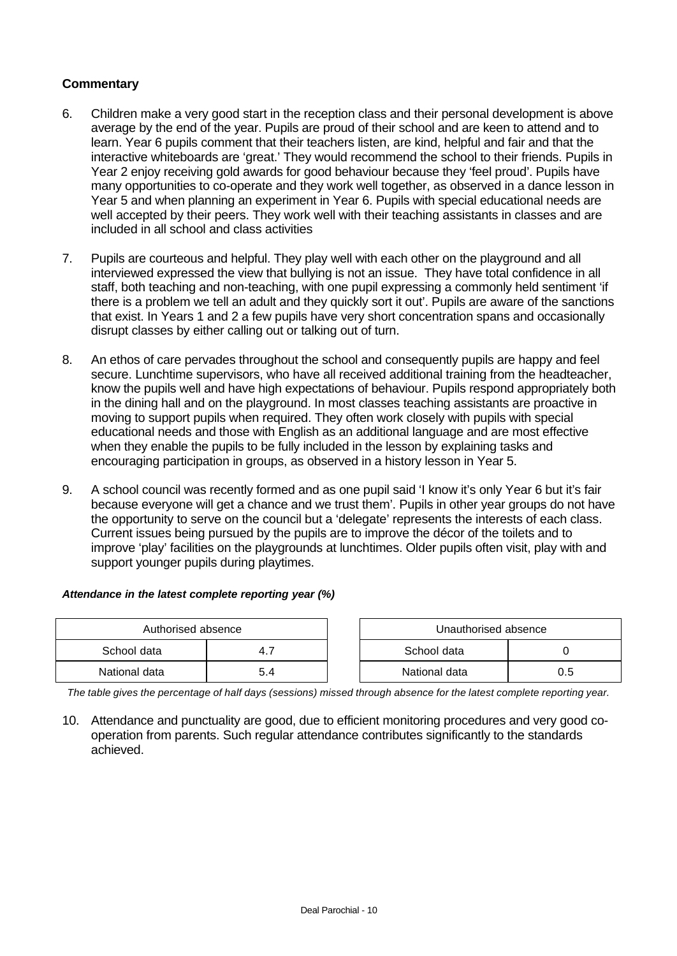### **Commentary**

- 6. Children make a very good start in the reception class and their personal development is above average by the end of the year. Pupils are proud of their school and are keen to attend and to learn. Year 6 pupils comment that their teachers listen, are kind, helpful and fair and that the interactive whiteboards are 'great.' They would recommend the school to their friends. Pupils in Year 2 enjoy receiving gold awards for good behaviour because they 'feel proud'. Pupils have many opportunities to co-operate and they work well together, as observed in a dance lesson in Year 5 and when planning an experiment in Year 6. Pupils with special educational needs are well accepted by their peers. They work well with their teaching assistants in classes and are included in all school and class activities
- 7. Pupils are courteous and helpful. They play well with each other on the playground and all interviewed expressed the view that bullying is not an issue. They have total confidence in all staff, both teaching and non-teaching, with one pupil expressing a commonly held sentiment 'if there is a problem we tell an adult and they quickly sort it out'. Pupils are aware of the sanctions that exist. In Years 1 and 2 a few pupils have very short concentration spans and occasionally disrupt classes by either calling out or talking out of turn.
- 8. An ethos of care pervades throughout the school and consequently pupils are happy and feel secure. Lunchtime supervisors, who have all received additional training from the headteacher, know the pupils well and have high expectations of behaviour. Pupils respond appropriately both in the dining hall and on the playground. In most classes teaching assistants are proactive in moving to support pupils when required. They often work closely with pupils with special educational needs and those with English as an additional language and are most effective when they enable the pupils to be fully included in the lesson by explaining tasks and encouraging participation in groups, as observed in a history lesson in Year 5.
- 9. A school council was recently formed and as one pupil said 'I know it's only Year 6 but it's fair because everyone will get a chance and we trust them'. Pupils in other year groups do not have the opportunity to serve on the council but a 'delegate' represents the interests of each class. Current issues being pursued by the pupils are to improve the décor of the toilets and to improve 'play' facilities on the playgrounds at lunchtimes. Older pupils often visit, play with and support younger pupils during playtimes.

#### *Attendance in the latest complete reporting year (%)*

| Authorised absence |     | Unauthorised absence |     |
|--------------------|-----|----------------------|-----|
| School data        |     | School data          |     |
| National data      | 5.4 | National data        | 0.5 |

*The table gives the percentage of half days (sessions) missed through absence for the latest complete reporting year.*

10. Attendance and punctuality are good, due to efficient monitoring procedures and very good cooperation from parents. Such regular attendance contributes significantly to the standards achieved.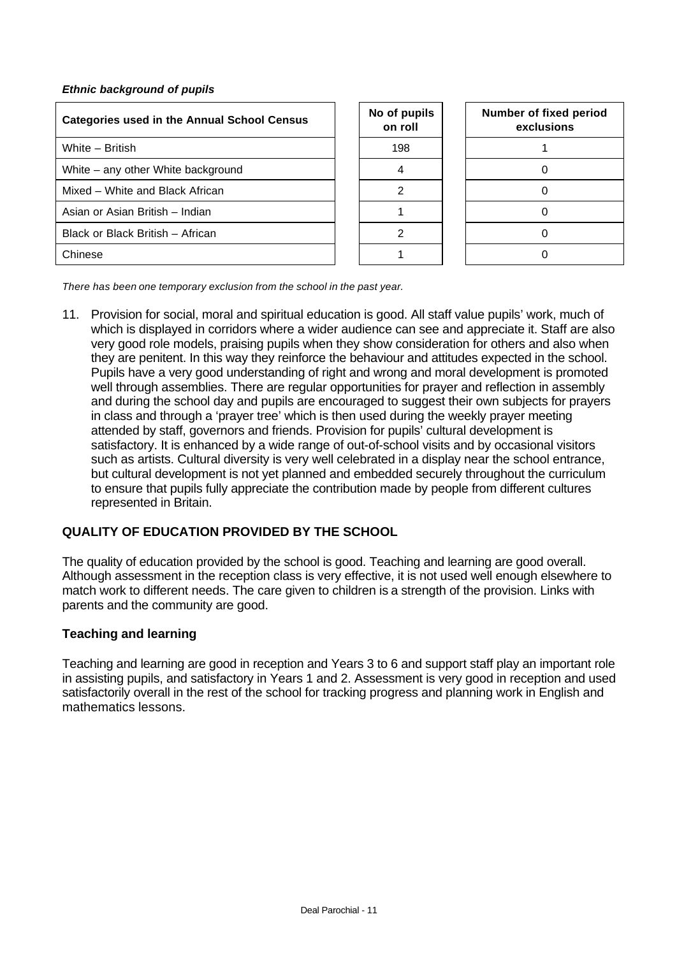#### *Ethnic background of pupils*

| <b>Categories used in the Annual School Census</b> | No of pupils<br>on roll | Number of fi<br>exclus |
|----------------------------------------------------|-------------------------|------------------------|
| White - British                                    | 198                     |                        |
| White – any other White background                 | 4                       |                        |
| Mixed – White and Black African                    | 2                       |                        |
| Asian or Asian British - Indian                    |                         |                        |
| Black or Black British - African                   | 2                       |                        |
| Chinese                                            |                         |                        |

| No of pupils<br>on roll |
|-------------------------|
| 198                     |
| 4                       |
| 2                       |
|                         |
| 2                       |
|                         |

| Number of fixed period<br>exclusions |
|--------------------------------------|
|                                      |
| 0                                    |
| 0                                    |
| ი                                    |
| Ω                                    |
|                                      |

*There has been one temporary exclusion from the school in the past year.*

11. Provision for social, moral and spiritual education is good. All staff value pupils' work, much of which is displayed in corridors where a wider audience can see and appreciate it. Staff are also very good role models, praising pupils when they show consideration for others and also when they are penitent. In this way they reinforce the behaviour and attitudes expected in the school. Pupils have a very good understanding of right and wrong and moral development is promoted well through assemblies. There are regular opportunities for prayer and reflection in assembly and during the school day and pupils are encouraged to suggest their own subjects for prayers in class and through a 'prayer tree' which is then used during the weekly prayer meeting attended by staff, governors and friends. Provision for pupils' cultural development is satisfactory. It is enhanced by a wide range of out-of-school visits and by occasional visitors such as artists. Cultural diversity is very well celebrated in a display near the school entrance, but cultural development is not yet planned and embedded securely throughout the curriculum to ensure that pupils fully appreciate the contribution made by people from different cultures represented in Britain.

# **QUALITY OF EDUCATION PROVIDED BY THE SCHOOL**

The quality of education provided by the school is good. Teaching and learning are good overall. Although assessment in the reception class is very effective, it is not used well enough elsewhere to match work to different needs. The care given to children is a strength of the provision. Links with parents and the community are good.

#### **Teaching and learning**

Teaching and learning are good in reception and Years 3 to 6 and support staff play an important role in assisting pupils, and satisfactory in Years 1 and 2. Assessment is very good in reception and used satisfactorily overall in the rest of the school for tracking progress and planning work in English and mathematics lessons.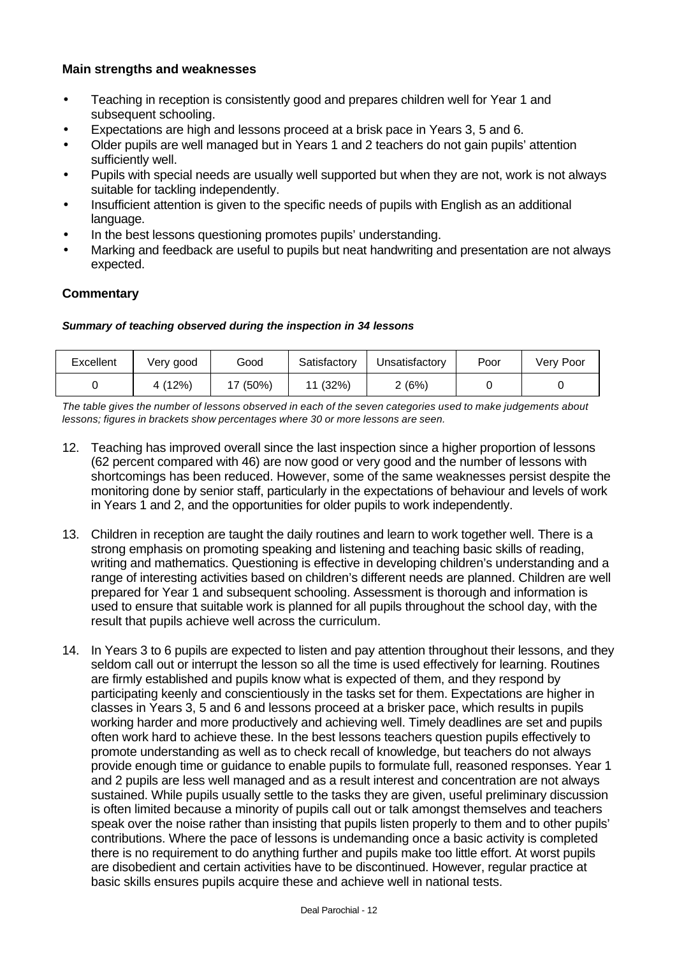- Teaching in reception is consistently good and prepares children well for Year 1 and subsequent schooling.
- Expectations are high and lessons proceed at a brisk pace in Years 3, 5 and 6.
- Older pupils are well managed but in Years 1 and 2 teachers do not gain pupils' attention sufficiently well.
- Pupils with special needs are usually well supported but when they are not, work is not always suitable for tackling independently.
- Insufficient attention is given to the specific needs of pupils with English as an additional language.
- In the best lessons questioning promotes pupils' understanding.
- Marking and feedback are useful to pupils but neat handwriting and presentation are not always expected.

### **Commentary**

#### *Summary of teaching observed during the inspection in 34 lessons*

| Excellent | Very good | Good  | Satisfactory | Unsatisfactory | Poor | Very Poor |
|-----------|-----------|-------|--------------|----------------|------|-----------|
|           | 4 (12%)   | (50%) | (32%)        | ? (6%)         |      |           |

*The table gives the number of lessons observed in each of the seven categories used to make judgements about lessons; figures in brackets show percentages where 30 or more lessons are seen.*

- 12. Teaching has improved overall since the last inspection since a higher proportion of lessons (62 percent compared with 46) are now good or very good and the number of lessons with shortcomings has been reduced. However, some of the same weaknesses persist despite the monitoring done by senior staff, particularly in the expectations of behaviour and levels of work in Years 1 and 2, and the opportunities for older pupils to work independently.
- 13. Children in reception are taught the daily routines and learn to work together well. There is a strong emphasis on promoting speaking and listening and teaching basic skills of reading, writing and mathematics. Questioning is effective in developing children's understanding and a range of interesting activities based on children's different needs are planned. Children are well prepared for Year 1 and subsequent schooling. Assessment is thorough and information is used to ensure that suitable work is planned for all pupils throughout the school day, with the result that pupils achieve well across the curriculum.
- 14. In Years 3 to 6 pupils are expected to listen and pay attention throughout their lessons, and they seldom call out or interrupt the lesson so all the time is used effectively for learning. Routines are firmly established and pupils know what is expected of them, and they respond by participating keenly and conscientiously in the tasks set for them. Expectations are higher in classes in Years 3, 5 and 6 and lessons proceed at a brisker pace, which results in pupils working harder and more productively and achieving well. Timely deadlines are set and pupils often work hard to achieve these. In the best lessons teachers question pupils effectively to promote understanding as well as to check recall of knowledge, but teachers do not always provide enough time or guidance to enable pupils to formulate full, reasoned responses. Year 1 and 2 pupils are less well managed and as a result interest and concentration are not always sustained. While pupils usually settle to the tasks they are given, useful preliminary discussion is often limited because a minority of pupils call out or talk amongst themselves and teachers speak over the noise rather than insisting that pupils listen properly to them and to other pupils' contributions. Where the pace of lessons is undemanding once a basic activity is completed there is no requirement to do anything further and pupils make too little effort. At worst pupils are disobedient and certain activities have to be discontinued. However, regular practice at basic skills ensures pupils acquire these and achieve well in national tests.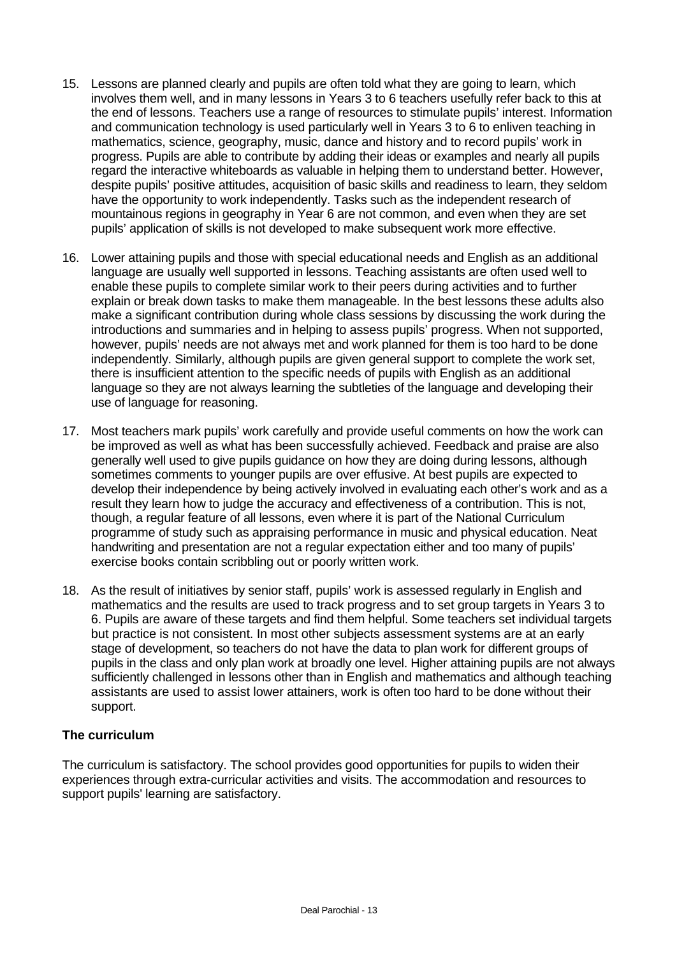- 15. Lessons are planned clearly and pupils are often told what they are going to learn, which involves them well, and in many lessons in Years 3 to 6 teachers usefully refer back to this at the end of lessons. Teachers use a range of resources to stimulate pupils' interest. Information and communication technology is used particularly well in Years 3 to 6 to enliven teaching in mathematics, science, geography, music, dance and history and to record pupils' work in progress. Pupils are able to contribute by adding their ideas or examples and nearly all pupils regard the interactive whiteboards as valuable in helping them to understand better. However, despite pupils' positive attitudes, acquisition of basic skills and readiness to learn, they seldom have the opportunity to work independently. Tasks such as the independent research of mountainous regions in geography in Year 6 are not common, and even when they are set pupils' application of skills is not developed to make subsequent work more effective.
- 16. Lower attaining pupils and those with special educational needs and English as an additional language are usually well supported in lessons. Teaching assistants are often used well to enable these pupils to complete similar work to their peers during activities and to further explain or break down tasks to make them manageable. In the best lessons these adults also make a significant contribution during whole class sessions by discussing the work during the introductions and summaries and in helping to assess pupils' progress. When not supported, however, pupils' needs are not always met and work planned for them is too hard to be done independently. Similarly, although pupils are given general support to complete the work set, there is insufficient attention to the specific needs of pupils with English as an additional language so they are not always learning the subtleties of the language and developing their use of language for reasoning.
- 17. Most teachers mark pupils' work carefully and provide useful comments on how the work can be improved as well as what has been successfully achieved. Feedback and praise are also generally well used to give pupils guidance on how they are doing during lessons, although sometimes comments to younger pupils are over effusive. At best pupils are expected to develop their independence by being actively involved in evaluating each other's work and as a result they learn how to judge the accuracy and effectiveness of a contribution. This is not, though, a regular feature of all lessons, even where it is part of the National Curriculum programme of study such as appraising performance in music and physical education. Neat handwriting and presentation are not a regular expectation either and too many of pupils' exercise books contain scribbling out or poorly written work.
- 18. As the result of initiatives by senior staff, pupils' work is assessed regularly in English and mathematics and the results are used to track progress and to set group targets in Years 3 to 6. Pupils are aware of these targets and find them helpful. Some teachers set individual targets but practice is not consistent. In most other subjects assessment systems are at an early stage of development, so teachers do not have the data to plan work for different groups of pupils in the class and only plan work at broadly one level. Higher attaining pupils are not always sufficiently challenged in lessons other than in English and mathematics and although teaching assistants are used to assist lower attainers, work is often too hard to be done without their support.

#### **The curriculum**

The curriculum is satisfactory. The school provides good opportunities for pupils to widen their experiences through extra-curricular activities and visits. The accommodation and resources to support pupils' learning are satisfactory.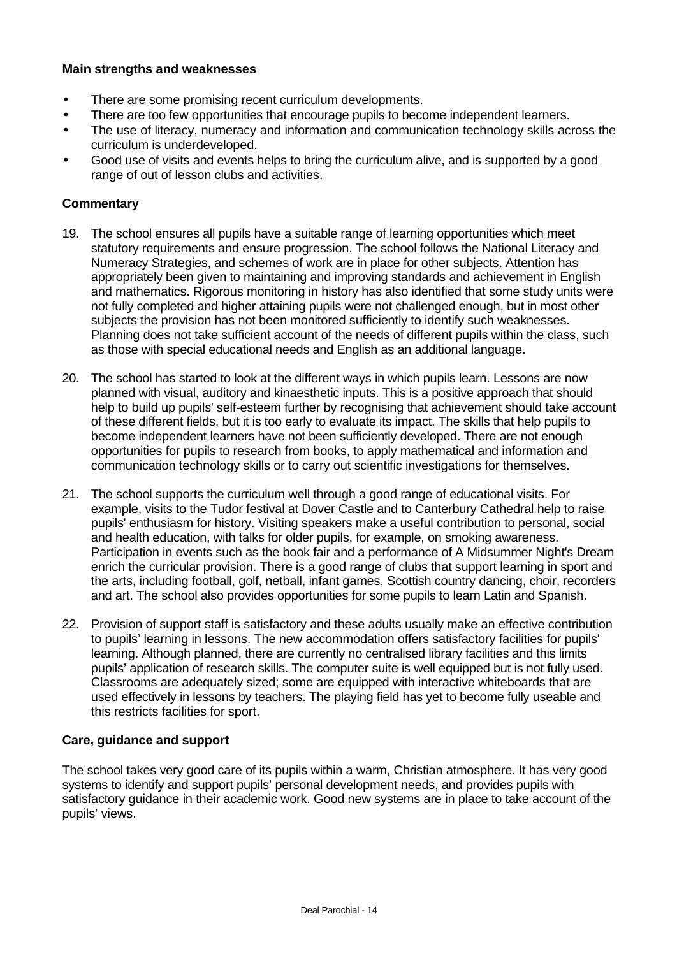- There are some promising recent curriculum developments.
- There are too few opportunities that encourage pupils to become independent learners.
- The use of literacy, numeracy and information and communication technology skills across the curriculum is underdeveloped.
- Good use of visits and events helps to bring the curriculum alive, and is supported by a good range of out of lesson clubs and activities.

#### **Commentary**

- 19. The school ensures all pupils have a suitable range of learning opportunities which meet statutory requirements and ensure progression. The school follows the National Literacy and Numeracy Strategies, and schemes of work are in place for other subjects. Attention has appropriately been given to maintaining and improving standards and achievement in English and mathematics. Rigorous monitoring in history has also identified that some study units were not fully completed and higher attaining pupils were not challenged enough, but in most other subjects the provision has not been monitored sufficiently to identify such weaknesses. Planning does not take sufficient account of the needs of different pupils within the class, such as those with special educational needs and English as an additional language.
- 20. The school has started to look at the different ways in which pupils learn. Lessons are now planned with visual, auditory and kinaesthetic inputs. This is a positive approach that should help to build up pupils' self-esteem further by recognising that achievement should take account of these different fields, but it is too early to evaluate its impact. The skills that help pupils to become independent learners have not been sufficiently developed. There are not enough opportunities for pupils to research from books, to apply mathematical and information and communication technology skills or to carry out scientific investigations for themselves.
- 21. The school supports the curriculum well through a good range of educational visits. For example, visits to the Tudor festival at Dover Castle and to Canterbury Cathedral help to raise pupils' enthusiasm for history. Visiting speakers make a useful contribution to personal, social and health education, with talks for older pupils, for example, on smoking awareness. Participation in events such as the book fair and a performance of A Midsummer Night's Dream enrich the curricular provision. There is a good range of clubs that support learning in sport and the arts, including football, golf, netball, infant games, Scottish country dancing, choir, recorders and art. The school also provides opportunities for some pupils to learn Latin and Spanish.
- 22. Provision of support staff is satisfactory and these adults usually make an effective contribution to pupils' learning in lessons. The new accommodation offers satisfactory facilities for pupils' learning. Although planned, there are currently no centralised library facilities and this limits pupils' application of research skills. The computer suite is well equipped but is not fully used. Classrooms are adequately sized; some are equipped with interactive whiteboards that are used effectively in lessons by teachers. The playing field has yet to become fully useable and this restricts facilities for sport.

#### **Care, guidance and support**

The school takes very good care of its pupils within a warm, Christian atmosphere. It has very good systems to identify and support pupils' personal development needs, and provides pupils with satisfactory guidance in their academic work. Good new systems are in place to take account of the pupils' views.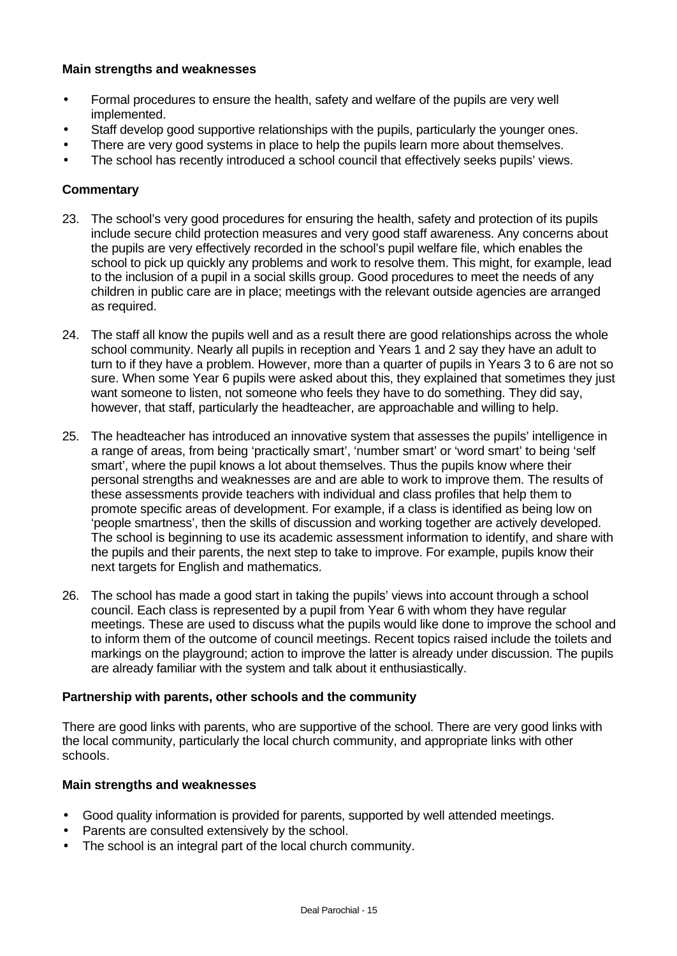- Formal procedures to ensure the health, safety and welfare of the pupils are very well implemented.
- Staff develop good supportive relationships with the pupils, particularly the younger ones.
- There are very good systems in place to help the pupils learn more about themselves.
- The school has recently introduced a school council that effectively seeks pupils' views.

### **Commentary**

- 23. The school's very good procedures for ensuring the health, safety and protection of its pupils include secure child protection measures and very good staff awareness. Any concerns about the pupils are very effectively recorded in the school's pupil welfare file, which enables the school to pick up quickly any problems and work to resolve them. This might, for example, lead to the inclusion of a pupil in a social skills group. Good procedures to meet the needs of any children in public care are in place; meetings with the relevant outside agencies are arranged as required.
- 24. The staff all know the pupils well and as a result there are good relationships across the whole school community. Nearly all pupils in reception and Years 1 and 2 say they have an adult to turn to if they have a problem. However, more than a quarter of pupils in Years 3 to 6 are not so sure. When some Year 6 pupils were asked about this, they explained that sometimes they just want someone to listen, not someone who feels they have to do something. They did say, however, that staff, particularly the headteacher, are approachable and willing to help.
- 25. The headteacher has introduced an innovative system that assesses the pupils' intelligence in a range of areas, from being 'practically smart', 'number smart' or 'word smart' to being 'self smart', where the pupil knows a lot about themselves. Thus the pupils know where their personal strengths and weaknesses are and are able to work to improve them. The results of these assessments provide teachers with individual and class profiles that help them to promote specific areas of development. For example, if a class is identified as being low on 'people smartness', then the skills of discussion and working together are actively developed. The school is beginning to use its academic assessment information to identify, and share with the pupils and their parents, the next step to take to improve. For example, pupils know their next targets for English and mathematics.
- 26. The school has made a good start in taking the pupils' views into account through a school council. Each class is represented by a pupil from Year 6 with whom they have regular meetings. These are used to discuss what the pupils would like done to improve the school and to inform them of the outcome of council meetings. Recent topics raised include the toilets and markings on the playground; action to improve the latter is already under discussion. The pupils are already familiar with the system and talk about it enthusiastically.

#### **Partnership with parents, other schools and the community**

There are good links with parents, who are supportive of the school. There are very good links with the local community, particularly the local church community, and appropriate links with other schools.

#### **Main strengths and weaknesses**

- Good quality information is provided for parents, supported by well attended meetings.
- Parents are consulted extensively by the school.
- The school is an integral part of the local church community.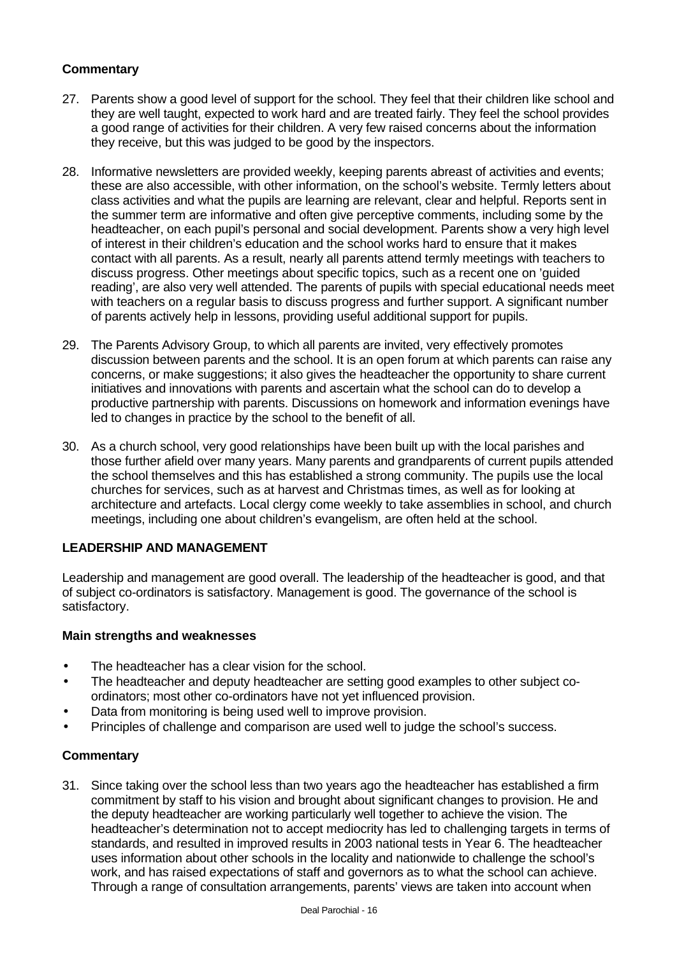## **Commentary**

- 27. Parents show a good level of support for the school. They feel that their children like school and they are well taught, expected to work hard and are treated fairly. They feel the school provides a good range of activities for their children. A very few raised concerns about the information they receive, but this was judged to be good by the inspectors.
- 28. Informative newsletters are provided weekly, keeping parents abreast of activities and events; these are also accessible, with other information, on the school's website. Termly letters about class activities and what the pupils are learning are relevant, clear and helpful. Reports sent in the summer term are informative and often give perceptive comments, including some by the headteacher, on each pupil's personal and social development. Parents show a very high level of interest in their children's education and the school works hard to ensure that it makes contact with all parents. As a result, nearly all parents attend termly meetings with teachers to discuss progress. Other meetings about specific topics, such as a recent one on 'guided reading', are also very well attended. The parents of pupils with special educational needs meet with teachers on a regular basis to discuss progress and further support. A significant number of parents actively help in lessons, providing useful additional support for pupils.
- 29. The Parents Advisory Group, to which all parents are invited, very effectively promotes discussion between parents and the school. It is an open forum at which parents can raise any concerns, or make suggestions; it also gives the headteacher the opportunity to share current initiatives and innovations with parents and ascertain what the school can do to develop a productive partnership with parents. Discussions on homework and information evenings have led to changes in practice by the school to the benefit of all.
- 30. As a church school, very good relationships have been built up with the local parishes and those further afield over many years. Many parents and grandparents of current pupils attended the school themselves and this has established a strong community. The pupils use the local churches for services, such as at harvest and Christmas times, as well as for looking at architecture and artefacts. Local clergy come weekly to take assemblies in school, and church meetings, including one about children's evangelism, are often held at the school.

## **LEADERSHIP AND MANAGEMENT**

Leadership and management are good overall. The leadership of the headteacher is good, and that of subject co-ordinators is satisfactory. Management is good. The governance of the school is satisfactory.

#### **Main strengths and weaknesses**

- The headteacher has a clear vision for the school.
- The headteacher and deputy headteacher are setting good examples to other subject coordinators; most other co-ordinators have not yet influenced provision.
- Data from monitoring is being used well to improve provision.
- Principles of challenge and comparison are used well to judge the school's success.

## **Commentary**

31. Since taking over the school less than two years ago the headteacher has established a firm commitment by staff to his vision and brought about significant changes to provision. He and the deputy headteacher are working particularly well together to achieve the vision. The headteacher's determination not to accept mediocrity has led to challenging targets in terms of standards, and resulted in improved results in 2003 national tests in Year 6. The headteacher uses information about other schools in the locality and nationwide to challenge the school's work, and has raised expectations of staff and governors as to what the school can achieve. Through a range of consultation arrangements, parents' views are taken into account when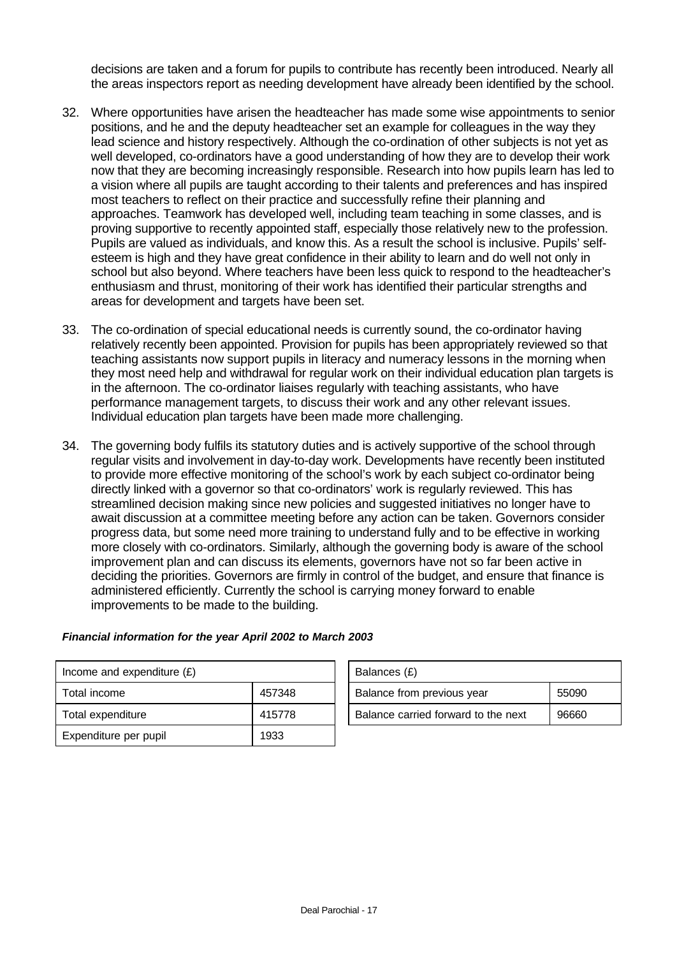decisions are taken and a forum for pupils to contribute has recently been introduced. Nearly all the areas inspectors report as needing development have already been identified by the school.

- 32. Where opportunities have arisen the headteacher has made some wise appointments to senior positions, and he and the deputy headteacher set an example for colleagues in the way they lead science and history respectively. Although the co-ordination of other subjects is not yet as well developed, co-ordinators have a good understanding of how they are to develop their work now that they are becoming increasingly responsible. Research into how pupils learn has led to a vision where all pupils are taught according to their talents and preferences and has inspired most teachers to reflect on their practice and successfully refine their planning and approaches. Teamwork has developed well, including team teaching in some classes, and is proving supportive to recently appointed staff, especially those relatively new to the profession. Pupils are valued as individuals, and know this. As a result the school is inclusive. Pupils' selfesteem is high and they have great confidence in their ability to learn and do well not only in school but also beyond. Where teachers have been less quick to respond to the headteacher's enthusiasm and thrust, monitoring of their work has identified their particular strengths and areas for development and targets have been set.
- 33. The co-ordination of special educational needs is currently sound, the co-ordinator having relatively recently been appointed. Provision for pupils has been appropriately reviewed so that teaching assistants now support pupils in literacy and numeracy lessons in the morning when they most need help and withdrawal for regular work on their individual education plan targets is in the afternoon. The co-ordinator liaises regularly with teaching assistants, who have performance management targets, to discuss their work and any other relevant issues. Individual education plan targets have been made more challenging.
- 34. The governing body fulfils its statutory duties and is actively supportive of the school through regular visits and involvement in day-to-day work. Developments have recently been instituted to provide more effective monitoring of the school's work by each subject co-ordinator being directly linked with a governor so that co-ordinators' work is regularly reviewed. This has streamlined decision making since new policies and suggested initiatives no longer have to await discussion at a committee meeting before any action can be taken. Governors consider progress data, but some need more training to understand fully and to be effective in working more closely with co-ordinators. Similarly, although the governing body is aware of the school improvement plan and can discuss its elements, governors have not so far been active in deciding the priorities. Governors are firmly in control of the budget, and ensure that finance is administered efficiently. Currently the school is carrying money forward to enable improvements to be made to the building.

| Income and expenditure $(E)$ |        | Balances (£)                        |       |
|------------------------------|--------|-------------------------------------|-------|
| Total income                 | 457348 | Balance from previous year          | 55090 |
| Total expenditure            | 415778 | Balance carried forward to the next | 96660 |
| Expenditure per pupil        | 1933   |                                     |       |

| Financial information for the year April 2002 to March 2003 |  |  |  |  |
|-------------------------------------------------------------|--|--|--|--|
|                                                             |  |  |  |  |

| Balances (£)                        |       |  |  |  |  |
|-------------------------------------|-------|--|--|--|--|
| Balance from previous year          | 55090 |  |  |  |  |
| Balance carried forward to the next | 96660 |  |  |  |  |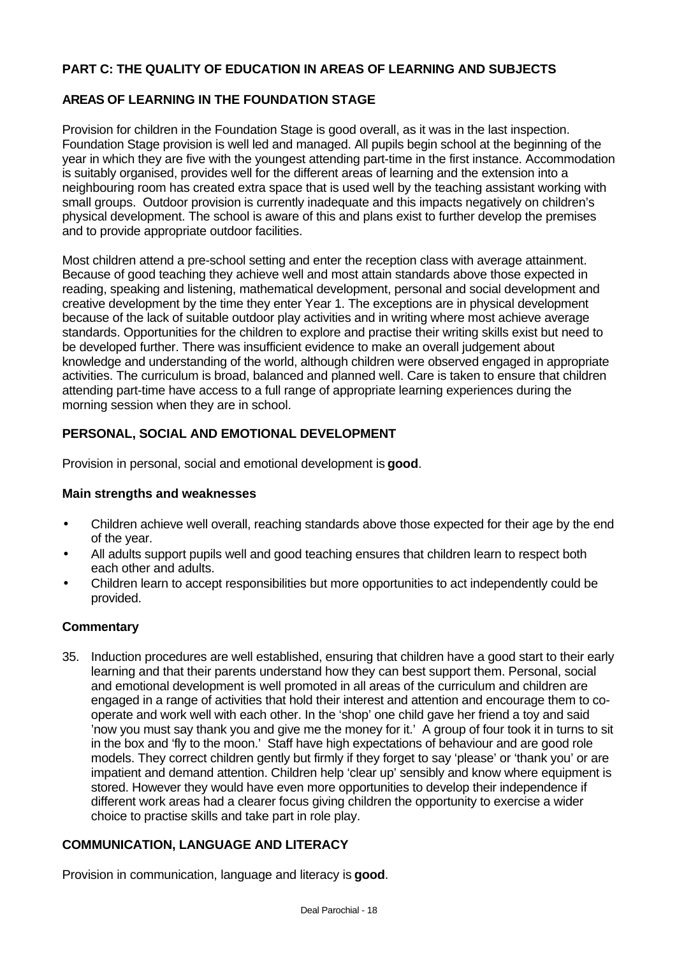## **PART C: THE QUALITY OF EDUCATION IN AREAS OF LEARNING AND SUBJECTS**

### **AREAS OF LEARNING IN THE FOUNDATION STAGE**

Provision for children in the Foundation Stage is good overall, as it was in the last inspection. Foundation Stage provision is well led and managed. All pupils begin school at the beginning of the year in which they are five with the youngest attending part-time in the first instance. Accommodation is suitably organised, provides well for the different areas of learning and the extension into a neighbouring room has created extra space that is used well by the teaching assistant working with small groups. Outdoor provision is currently inadequate and this impacts negatively on children's physical development. The school is aware of this and plans exist to further develop the premises and to provide appropriate outdoor facilities.

Most children attend a pre-school setting and enter the reception class with average attainment. Because of good teaching they achieve well and most attain standards above those expected in reading, speaking and listening, mathematical development, personal and social development and creative development by the time they enter Year 1. The exceptions are in physical development because of the lack of suitable outdoor play activities and in writing where most achieve average standards. Opportunities for the children to explore and practise their writing skills exist but need to be developed further. There was insufficient evidence to make an overall judgement about knowledge and understanding of the world, although children were observed engaged in appropriate activities. The curriculum is broad, balanced and planned well. Care is taken to ensure that children attending part-time have access to a full range of appropriate learning experiences during the morning session when they are in school.

## **PERSONAL, SOCIAL AND EMOTIONAL DEVELOPMENT**

Provision in personal, social and emotional development is **good**.

#### **Main strengths and weaknesses**

- Children achieve well overall, reaching standards above those expected for their age by the end of the year.
- All adults support pupils well and good teaching ensures that children learn to respect both each other and adults.
- Children learn to accept responsibilities but more opportunities to act independently could be provided.

#### **Commentary**

35. Induction procedures are well established, ensuring that children have a good start to their early learning and that their parents understand how they can best support them. Personal, social and emotional development is well promoted in all areas of the curriculum and children are engaged in a range of activities that hold their interest and attention and encourage them to cooperate and work well with each other. In the 'shop' one child gave her friend a toy and said 'now you must say thank you and give me the money for it.' A group of four took it in turns to sit in the box and 'fly to the moon.' Staff have high expectations of behaviour and are good role models. They correct children gently but firmly if they forget to say 'please' or 'thank you' or are impatient and demand attention. Children help 'clear up' sensibly and know where equipment is stored. However they would have even more opportunities to develop their independence if different work areas had a clearer focus giving children the opportunity to exercise a wider choice to practise skills and take part in role play.

#### **COMMUNICATION, LANGUAGE AND LITERACY**

Provision in communication, language and literacy is **good**.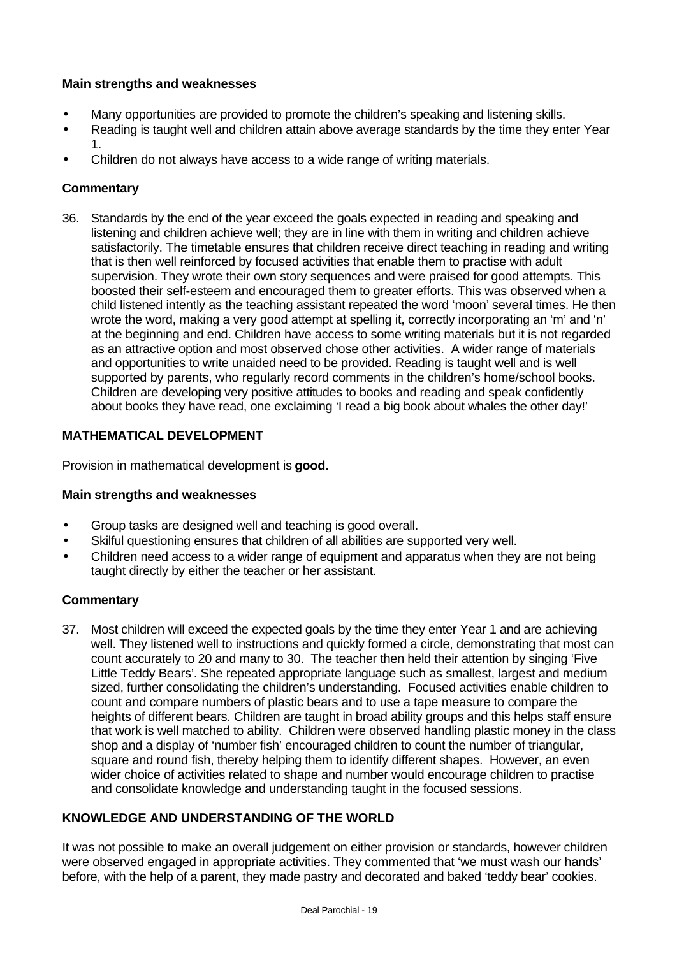- Many opportunities are provided to promote the children's speaking and listening skills.
- Reading is taught well and children attain above average standards by the time they enter Year 1.
- Children do not always have access to a wide range of writing materials.

### **Commentary**

36. Standards by the end of the year exceed the goals expected in reading and speaking and listening and children achieve well; they are in line with them in writing and children achieve satisfactorily. The timetable ensures that children receive direct teaching in reading and writing that is then well reinforced by focused activities that enable them to practise with adult supervision. They wrote their own story sequences and were praised for good attempts. This boosted their self-esteem and encouraged them to greater efforts. This was observed when a child listened intently as the teaching assistant repeated the word 'moon' several times. He then wrote the word, making a very good attempt at spelling it, correctly incorporating an 'm' and 'n' at the beginning and end. Children have access to some writing materials but it is not regarded as an attractive option and most observed chose other activities. A wider range of materials and opportunities to write unaided need to be provided. Reading is taught well and is well supported by parents, who regularly record comments in the children's home/school books. Children are developing very positive attitudes to books and reading and speak confidently about books they have read, one exclaiming 'I read a big book about whales the other day!'

### **MATHEMATICAL DEVELOPMENT**

Provision in mathematical development is **good**.

#### **Main strengths and weaknesses**

- Group tasks are designed well and teaching is good overall.
- Skilful questioning ensures that children of all abilities are supported very well.
- Children need access to a wider range of equipment and apparatus when they are not being taught directly by either the teacher or her assistant.

#### **Commentary**

37. Most children will exceed the expected goals by the time they enter Year 1 and are achieving well. They listened well to instructions and quickly formed a circle, demonstrating that most can count accurately to 20 and many to 30. The teacher then held their attention by singing 'Five Little Teddy Bears'. She repeated appropriate language such as smallest, largest and medium sized, further consolidating the children's understanding. Focused activities enable children to count and compare numbers of plastic bears and to use a tape measure to compare the heights of different bears. Children are taught in broad ability groups and this helps staff ensure that work is well matched to ability. Children were observed handling plastic money in the class shop and a display of 'number fish' encouraged children to count the number of triangular, square and round fish, thereby helping them to identify different shapes. However, an even wider choice of activities related to shape and number would encourage children to practise and consolidate knowledge and understanding taught in the focused sessions.

## **KNOWLEDGE AND UNDERSTANDING OF THE WORLD**

It was not possible to make an overall judgement on either provision or standards, however children were observed engaged in appropriate activities. They commented that 'we must wash our hands' before, with the help of a parent, they made pastry and decorated and baked 'teddy bear' cookies.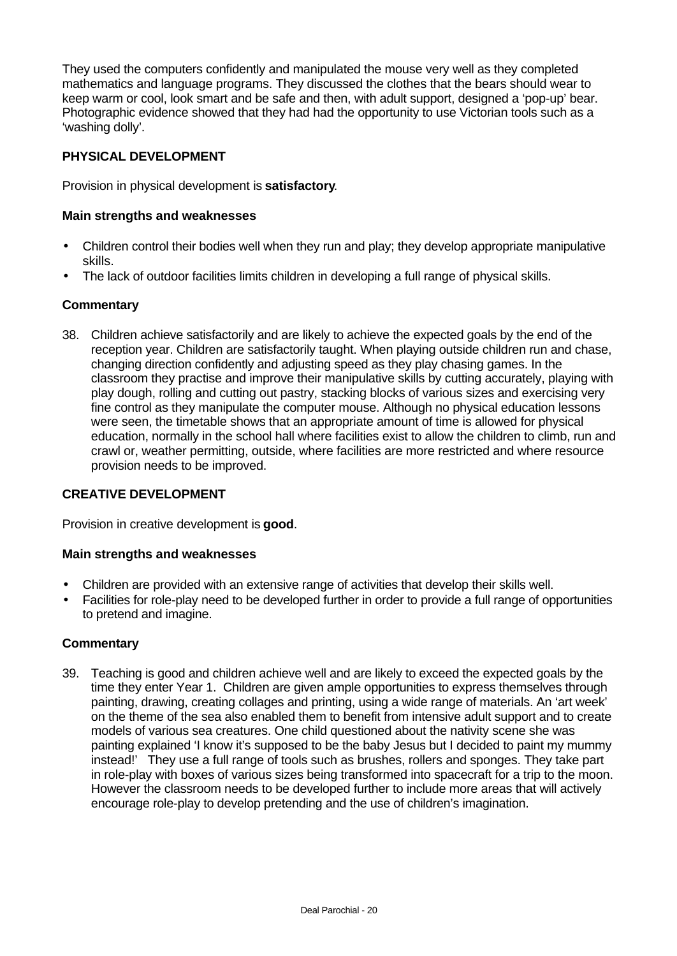They used the computers confidently and manipulated the mouse very well as they completed mathematics and language programs. They discussed the clothes that the bears should wear to keep warm or cool, look smart and be safe and then, with adult support, designed a 'pop-up' bear. Photographic evidence showed that they had had the opportunity to use Victorian tools such as a 'washing dolly'.

### **PHYSICAL DEVELOPMENT**

Provision in physical development is **satisfactory**.

#### **Main strengths and weaknesses**

- Children control their bodies well when they run and play; they develop appropriate manipulative skills.
- The lack of outdoor facilities limits children in developing a full range of physical skills.

#### **Commentary**

38. Children achieve satisfactorily and are likely to achieve the expected goals by the end of the reception year. Children are satisfactorily taught. When playing outside children run and chase, changing direction confidently and adjusting speed as they play chasing games. In the classroom they practise and improve their manipulative skills by cutting accurately, playing with play dough, rolling and cutting out pastry, stacking blocks of various sizes and exercising very fine control as they manipulate the computer mouse. Although no physical education lessons were seen, the timetable shows that an appropriate amount of time is allowed for physical education, normally in the school hall where facilities exist to allow the children to climb, run and crawl or, weather permitting, outside, where facilities are more restricted and where resource provision needs to be improved.

## **CREATIVE DEVELOPMENT**

Provision in creative development is **good**.

#### **Main strengths and weaknesses**

- Children are provided with an extensive range of activities that develop their skills well.
- Facilities for role-play need to be developed further in order to provide a full range of opportunities to pretend and imagine.

#### **Commentary**

39. Teaching is good and children achieve well and are likely to exceed the expected goals by the time they enter Year 1. Children are given ample opportunities to express themselves through painting, drawing, creating collages and printing, using a wide range of materials. An 'art week' on the theme of the sea also enabled them to benefit from intensive adult support and to create models of various sea creatures. One child questioned about the nativity scene she was painting explained 'I know it's supposed to be the baby Jesus but I decided to paint my mummy instead!' They use a full range of tools such as brushes, rollers and sponges. They take part in role-play with boxes of various sizes being transformed into spacecraft for a trip to the moon. However the classroom needs to be developed further to include more areas that will actively encourage role-play to develop pretending and the use of children's imagination.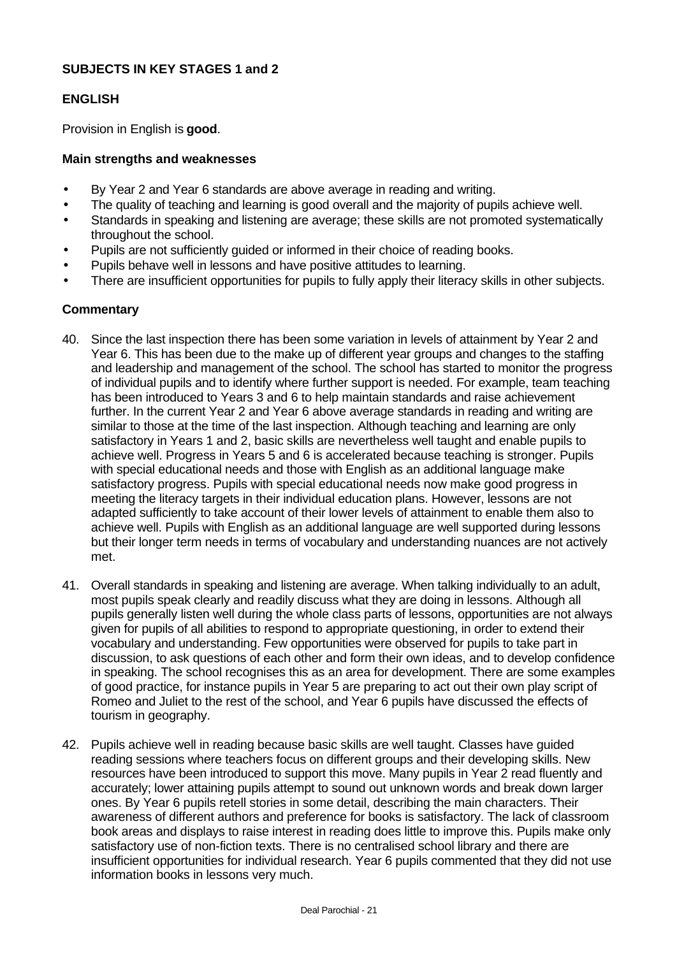### **SUBJECTS IN KEY STAGES 1 and 2**

### **ENGLISH**

Provision in English is **good**.

#### **Main strengths and weaknesses**

- By Year 2 and Year 6 standards are above average in reading and writing.
- The quality of teaching and learning is good overall and the majority of pupils achieve well.
- Standards in speaking and listening are average; these skills are not promoted systematically throughout the school.
- Pupils are not sufficiently guided or informed in their choice of reading books.
- Pupils behave well in lessons and have positive attitudes to learning.
- There are insufficient opportunities for pupils to fully apply their literacy skills in other subjects.

#### **Commentary**

- 40. Since the last inspection there has been some variation in levels of attainment by Year 2 and Year 6. This has been due to the make up of different year groups and changes to the staffing and leadership and management of the school. The school has started to monitor the progress of individual pupils and to identify where further support is needed. For example, team teaching has been introduced to Years 3 and 6 to help maintain standards and raise achievement further. In the current Year 2 and Year 6 above average standards in reading and writing are similar to those at the time of the last inspection. Although teaching and learning are only satisfactory in Years 1 and 2, basic skills are nevertheless well taught and enable pupils to achieve well. Progress in Years 5 and 6 is accelerated because teaching is stronger. Pupils with special educational needs and those with English as an additional language make satisfactory progress. Pupils with special educational needs now make good progress in meeting the literacy targets in their individual education plans. However, lessons are not adapted sufficiently to take account of their lower levels of attainment to enable them also to achieve well. Pupils with English as an additional language are well supported during lessons but their longer term needs in terms of vocabulary and understanding nuances are not actively met.
- 41. Overall standards in speaking and listening are average. When talking individually to an adult, most pupils speak clearly and readily discuss what they are doing in lessons. Although all pupils generally listen well during the whole class parts of lessons, opportunities are not always given for pupils of all abilities to respond to appropriate questioning, in order to extend their vocabulary and understanding. Few opportunities were observed for pupils to take part in discussion, to ask questions of each other and form their own ideas, and to develop confidence in speaking. The school recognises this as an area for development. There are some examples of good practice, for instance pupils in Year 5 are preparing to act out their own play script of Romeo and Juliet to the rest of the school, and Year 6 pupils have discussed the effects of tourism in geography.
- 42. Pupils achieve well in reading because basic skills are well taught. Classes have guided reading sessions where teachers focus on different groups and their developing skills. New resources have been introduced to support this move. Many pupils in Year 2 read fluently and accurately; lower attaining pupils attempt to sound out unknown words and break down larger ones. By Year 6 pupils retell stories in some detail, describing the main characters. Their awareness of different authors and preference for books is satisfactory. The lack of classroom book areas and displays to raise interest in reading does little to improve this. Pupils make only satisfactory use of non-fiction texts. There is no centralised school library and there are insufficient opportunities for individual research. Year 6 pupils commented that they did not use information books in lessons very much.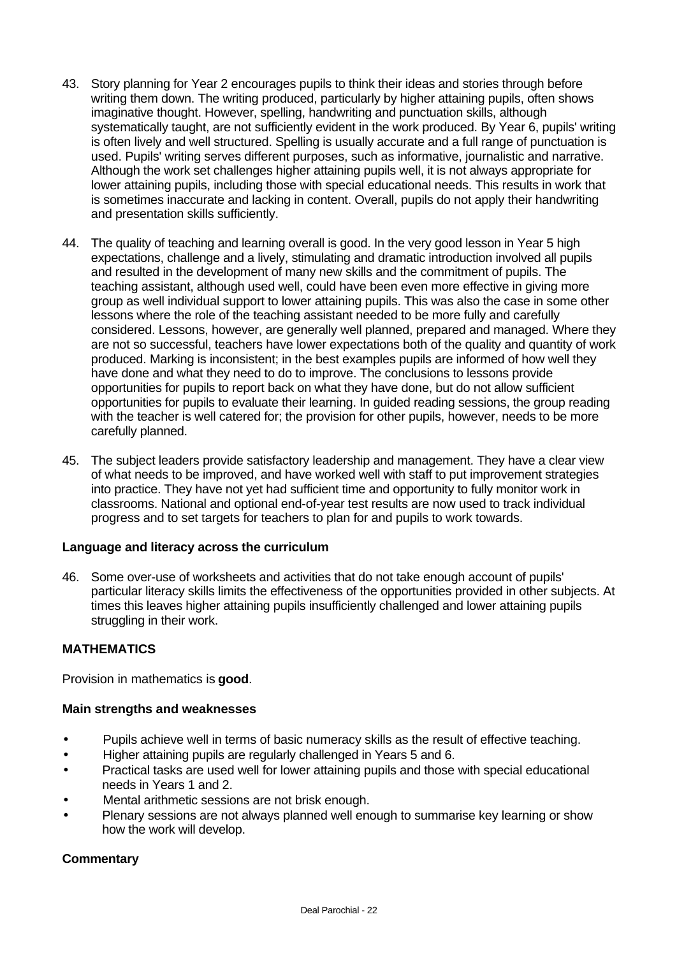- 43. Story planning for Year 2 encourages pupils to think their ideas and stories through before writing them down. The writing produced, particularly by higher attaining pupils, often shows imaginative thought. However, spelling, handwriting and punctuation skills, although systematically taught, are not sufficiently evident in the work produced. By Year 6, pupils' writing is often lively and well structured. Spelling is usually accurate and a full range of punctuation is used. Pupils' writing serves different purposes, such as informative, journalistic and narrative. Although the work set challenges higher attaining pupils well, it is not always appropriate for lower attaining pupils, including those with special educational needs. This results in work that is sometimes inaccurate and lacking in content. Overall, pupils do not apply their handwriting and presentation skills sufficiently.
- 44. The quality of teaching and learning overall is good. In the very good lesson in Year 5 high expectations, challenge and a lively, stimulating and dramatic introduction involved all pupils and resulted in the development of many new skills and the commitment of pupils. The teaching assistant, although used well, could have been even more effective in giving more group as well individual support to lower attaining pupils. This was also the case in some other lessons where the role of the teaching assistant needed to be more fully and carefully considered. Lessons, however, are generally well planned, prepared and managed. Where they are not so successful, teachers have lower expectations both of the quality and quantity of work produced. Marking is inconsistent; in the best examples pupils are informed of how well they have done and what they need to do to improve. The conclusions to lessons provide opportunities for pupils to report back on what they have done, but do not allow sufficient opportunities for pupils to evaluate their learning. In guided reading sessions, the group reading with the teacher is well catered for; the provision for other pupils, however, needs to be more carefully planned.
- 45. The subject leaders provide satisfactory leadership and management. They have a clear view of what needs to be improved, and have worked well with staff to put improvement strategies into practice. They have not yet had sufficient time and opportunity to fully monitor work in classrooms. National and optional end-of-year test results are now used to track individual progress and to set targets for teachers to plan for and pupils to work towards.

#### **Language and literacy across the curriculum**

46. Some over-use of worksheets and activities that do not take enough account of pupils' particular literacy skills limits the effectiveness of the opportunities provided in other subjects. At times this leaves higher attaining pupils insufficiently challenged and lower attaining pupils struggling in their work.

#### **MATHEMATICS**

Provision in mathematics is **good**.

#### **Main strengths and weaknesses**

- Pupils achieve well in terms of basic numeracy skills as the result of effective teaching.
- Higher attaining pupils are regularly challenged in Years 5 and 6.
- Practical tasks are used well for lower attaining pupils and those with special educational needs in Years 1 and 2.
- Mental arithmetic sessions are not brisk enough.
- Plenary sessions are not always planned well enough to summarise key learning or show how the work will develop.

#### **Commentary**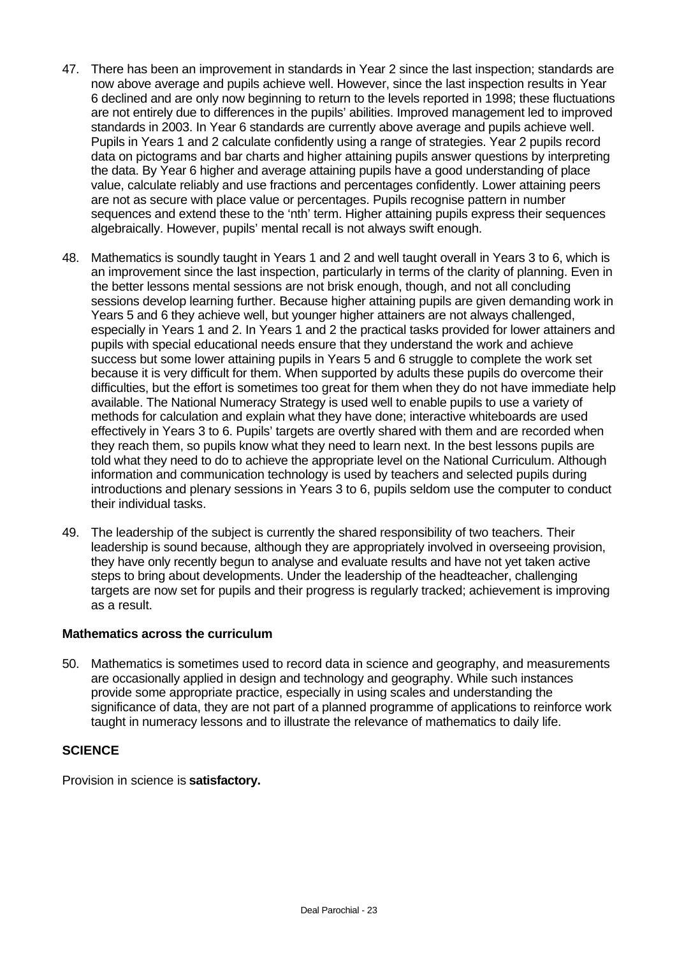- 47. There has been an improvement in standards in Year 2 since the last inspection; standards are now above average and pupils achieve well. However, since the last inspection results in Year 6 declined and are only now beginning to return to the levels reported in 1998; these fluctuations are not entirely due to differences in the pupils' abilities. Improved management led to improved standards in 2003. In Year 6 standards are currently above average and pupils achieve well. Pupils in Years 1 and 2 calculate confidently using a range of strategies. Year 2 pupils record data on pictograms and bar charts and higher attaining pupils answer questions by interpreting the data. By Year 6 higher and average attaining pupils have a good understanding of place value, calculate reliably and use fractions and percentages confidently. Lower attaining peers are not as secure with place value or percentages. Pupils recognise pattern in number sequences and extend these to the 'nth' term. Higher attaining pupils express their sequences algebraically. However, pupils' mental recall is not always swift enough.
- 48. Mathematics is soundly taught in Years 1 and 2 and well taught overall in Years 3 to 6, which is an improvement since the last inspection, particularly in terms of the clarity of planning. Even in the better lessons mental sessions are not brisk enough, though, and not all concluding sessions develop learning further. Because higher attaining pupils are given demanding work in Years 5 and 6 they achieve well, but younger higher attainers are not always challenged, especially in Years 1 and 2. In Years 1 and 2 the practical tasks provided for lower attainers and pupils with special educational needs ensure that they understand the work and achieve success but some lower attaining pupils in Years 5 and 6 struggle to complete the work set because it is very difficult for them. When supported by adults these pupils do overcome their difficulties, but the effort is sometimes too great for them when they do not have immediate help available. The National Numeracy Strategy is used well to enable pupils to use a variety of methods for calculation and explain what they have done; interactive whiteboards are used effectively in Years 3 to 6. Pupils' targets are overtly shared with them and are recorded when they reach them, so pupils know what they need to learn next. In the best lessons pupils are told what they need to do to achieve the appropriate level on the National Curriculum. Although information and communication technology is used by teachers and selected pupils during introductions and plenary sessions in Years 3 to 6, pupils seldom use the computer to conduct their individual tasks.
- 49. The leadership of the subject is currently the shared responsibility of two teachers. Their leadership is sound because, although they are appropriately involved in overseeing provision, they have only recently begun to analyse and evaluate results and have not yet taken active steps to bring about developments. Under the leadership of the headteacher, challenging targets are now set for pupils and their progress is regularly tracked; achievement is improving as a result.

#### **Mathematics across the curriculum**

50. Mathematics is sometimes used to record data in science and geography, and measurements are occasionally applied in design and technology and geography. While such instances provide some appropriate practice, especially in using scales and understanding the significance of data, they are not part of a planned programme of applications to reinforce work taught in numeracy lessons and to illustrate the relevance of mathematics to daily life.

#### **SCIENCE**

Provision in science is **satisfactory.**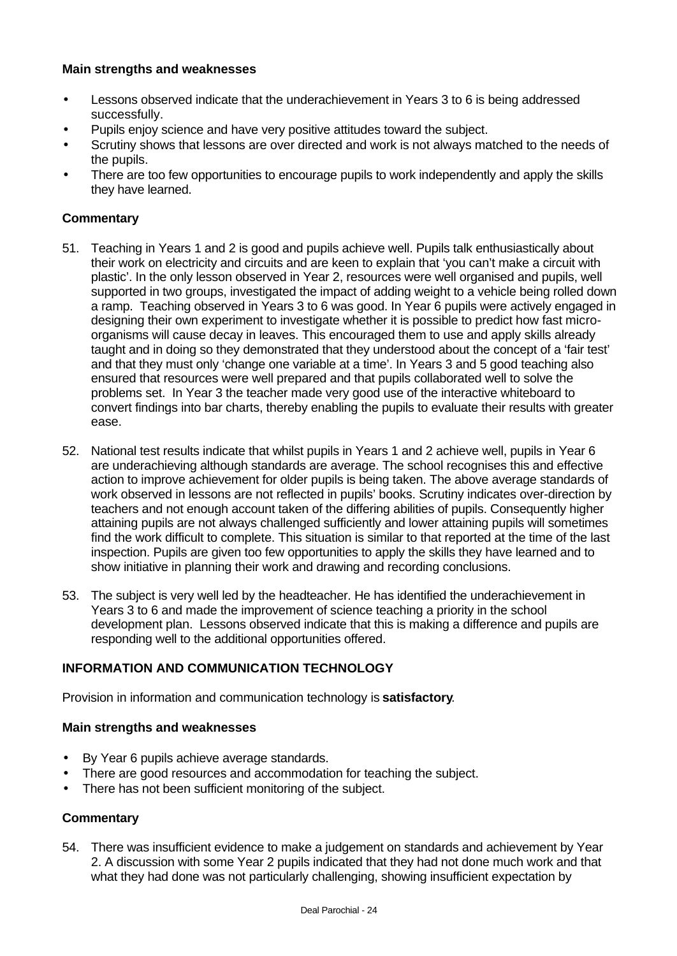- Lessons observed indicate that the underachievement in Years 3 to 6 is being addressed successfully.
- Pupils enjoy science and have very positive attitudes toward the subject.
- Scrutiny shows that lessons are over directed and work is not always matched to the needs of the pupils.
- There are too few opportunities to encourage pupils to work independently and apply the skills they have learned.

### **Commentary**

- 51. Teaching in Years 1 and 2 is good and pupils achieve well. Pupils talk enthusiastically about their work on electricity and circuits and are keen to explain that 'you can't make a circuit with plastic'. In the only lesson observed in Year 2, resources were well organised and pupils, well supported in two groups, investigated the impact of adding weight to a vehicle being rolled down a ramp. Teaching observed in Years 3 to 6 was good. In Year 6 pupils were actively engaged in designing their own experiment to investigate whether it is possible to predict how fast microorganisms will cause decay in leaves. This encouraged them to use and apply skills already taught and in doing so they demonstrated that they understood about the concept of a 'fair test' and that they must only 'change one variable at a time'. In Years 3 and 5 good teaching also ensured that resources were well prepared and that pupils collaborated well to solve the problems set. In Year 3 the teacher made very good use of the interactive whiteboard to convert findings into bar charts, thereby enabling the pupils to evaluate their results with greater ease.
- 52. National test results indicate that whilst pupils in Years 1 and 2 achieve well, pupils in Year 6 are underachieving although standards are average. The school recognises this and effective action to improve achievement for older pupils is being taken. The above average standards of work observed in lessons are not reflected in pupils' books. Scrutiny indicates over-direction by teachers and not enough account taken of the differing abilities of pupils. Consequently higher attaining pupils are not always challenged sufficiently and lower attaining pupils will sometimes find the work difficult to complete. This situation is similar to that reported at the time of the last inspection. Pupils are given too few opportunities to apply the skills they have learned and to show initiative in planning their work and drawing and recording conclusions.
- 53. The subject is very well led by the headteacher. He has identified the underachievement in Years 3 to 6 and made the improvement of science teaching a priority in the school development plan. Lessons observed indicate that this is making a difference and pupils are responding well to the additional opportunities offered.

## **INFORMATION AND COMMUNICATION TECHNOLOGY**

Provision in information and communication technology is **satisfactory**.

#### **Main strengths and weaknesses**

- By Year 6 pupils achieve average standards.
- There are good resources and accommodation for teaching the subject.
- There has not been sufficient monitoring of the subject.

#### **Commentary**

54. There was insufficient evidence to make a judgement on standards and achievement by Year 2. A discussion with some Year 2 pupils indicated that they had not done much work and that what they had done was not particularly challenging, showing insufficient expectation by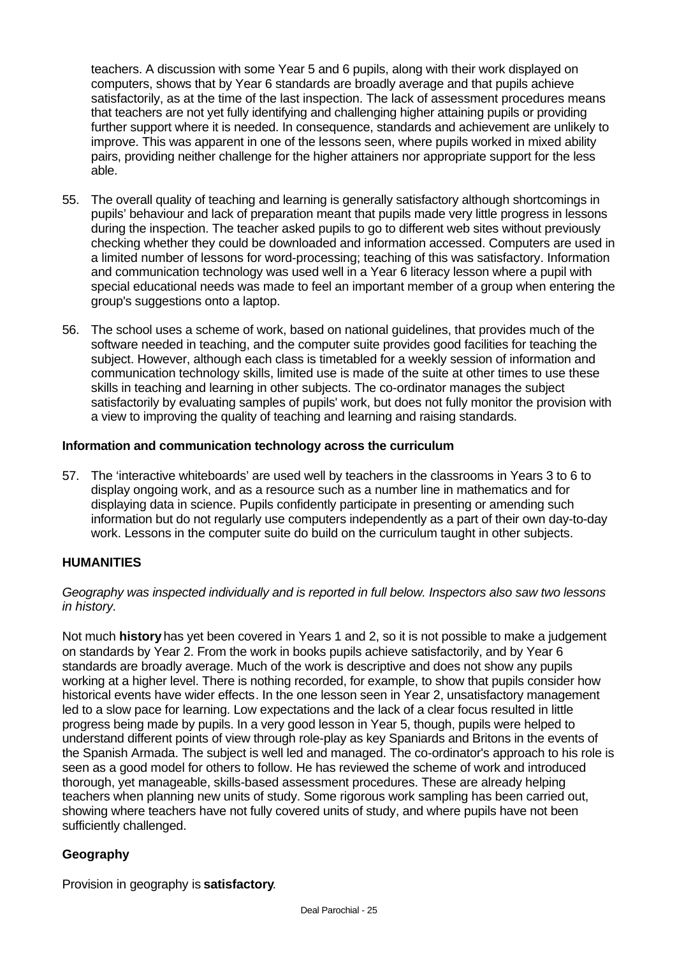teachers. A discussion with some Year 5 and 6 pupils, along with their work displayed on computers, shows that by Year 6 standards are broadly average and that pupils achieve satisfactorily, as at the time of the last inspection. The lack of assessment procedures means that teachers are not yet fully identifying and challenging higher attaining pupils or providing further support where it is needed. In consequence, standards and achievement are unlikely to improve. This was apparent in one of the lessons seen, where pupils worked in mixed ability pairs, providing neither challenge for the higher attainers nor appropriate support for the less able.

- 55. The overall quality of teaching and learning is generally satisfactory although shortcomings in pupils' behaviour and lack of preparation meant that pupils made very little progress in lessons during the inspection. The teacher asked pupils to go to different web sites without previously checking whether they could be downloaded and information accessed. Computers are used in a limited number of lessons for word-processing; teaching of this was satisfactory. Information and communication technology was used well in a Year 6 literacy lesson where a pupil with special educational needs was made to feel an important member of a group when entering the group's suggestions onto a laptop.
- 56. The school uses a scheme of work, based on national guidelines, that provides much of the software needed in teaching, and the computer suite provides good facilities for teaching the subject. However, although each class is timetabled for a weekly session of information and communication technology skills, limited use is made of the suite at other times to use these skills in teaching and learning in other subjects. The co-ordinator manages the subject satisfactorily by evaluating samples of pupils' work, but does not fully monitor the provision with a view to improving the quality of teaching and learning and raising standards.

### **Information and communication technology across the curriculum**

57. The 'interactive whiteboards' are used well by teachers in the classrooms in Years 3 to 6 to display ongoing work, and as a resource such as a number line in mathematics and for displaying data in science. Pupils confidently participate in presenting or amending such information but do not regularly use computers independently as a part of their own day-to-day work. Lessons in the computer suite do build on the curriculum taught in other subjects.

## **HUMANITIES**

#### *Geography was inspected individually and is reported in full below. Inspectors also saw two lessons in history.*

Not much **history** has yet been covered in Years 1 and 2, so it is not possible to make a judgement on standards by Year 2. From the work in books pupils achieve satisfactorily, and by Year 6 standards are broadly average. Much of the work is descriptive and does not show any pupils working at a higher level. There is nothing recorded, for example, to show that pupils consider how historical events have wider effects. In the one lesson seen in Year 2, unsatisfactory management led to a slow pace for learning. Low expectations and the lack of a clear focus resulted in little progress being made by pupils. In a very good lesson in Year 5, though, pupils were helped to understand different points of view through role-play as key Spaniards and Britons in the events of the Spanish Armada. The subject is well led and managed. The co-ordinator's approach to his role is seen as a good model for others to follow. He has reviewed the scheme of work and introduced thorough, yet manageable, skills-based assessment procedures. These are already helping teachers when planning new units of study. Some rigorous work sampling has been carried out, showing where teachers have not fully covered units of study, and where pupils have not been sufficiently challenged.

## **Geography**

Provision in geography is **satisfactory**.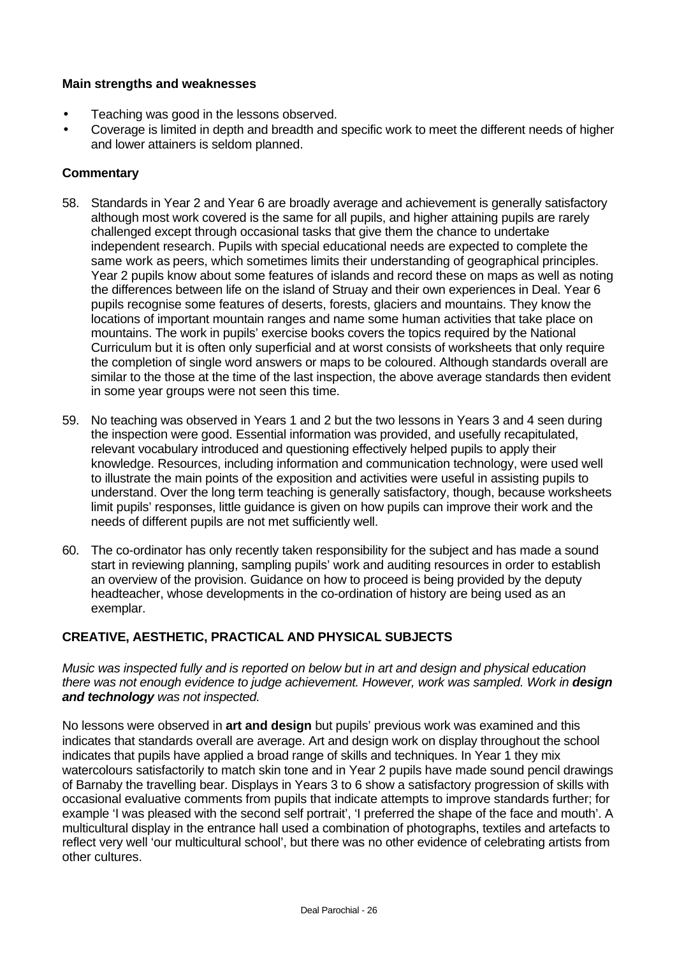- Teaching was good in the lessons observed.
- Coverage is limited in depth and breadth and specific work to meet the different needs of higher and lower attainers is seldom planned.

## **Commentary**

- 58. Standards in Year 2 and Year 6 are broadly average and achievement is generally satisfactory although most work covered is the same for all pupils, and higher attaining pupils are rarely challenged except through occasional tasks that give them the chance to undertake independent research. Pupils with special educational needs are expected to complete the same work as peers, which sometimes limits their understanding of geographical principles. Year 2 pupils know about some features of islands and record these on maps as well as noting the differences between life on the island of Struay and their own experiences in Deal. Year 6 pupils recognise some features of deserts, forests, glaciers and mountains. They know the locations of important mountain ranges and name some human activities that take place on mountains. The work in pupils' exercise books covers the topics required by the National Curriculum but it is often only superficial and at worst consists of worksheets that only require the completion of single word answers or maps to be coloured. Although standards overall are similar to the those at the time of the last inspection, the above average standards then evident in some year groups were not seen this time.
- 59. No teaching was observed in Years 1 and 2 but the two lessons in Years 3 and 4 seen during the inspection were good. Essential information was provided, and usefully recapitulated, relevant vocabulary introduced and questioning effectively helped pupils to apply their knowledge. Resources, including information and communication technology, were used well to illustrate the main points of the exposition and activities were useful in assisting pupils to understand. Over the long term teaching is generally satisfactory, though, because worksheets limit pupils' responses, little guidance is given on how pupils can improve their work and the needs of different pupils are not met sufficiently well.
- 60. The co-ordinator has only recently taken responsibility for the subject and has made a sound start in reviewing planning, sampling pupils' work and auditing resources in order to establish an overview of the provision. Guidance on how to proceed is being provided by the deputy headteacher, whose developments in the co-ordination of history are being used as an exemplar.

# **CREATIVE, AESTHETIC, PRACTICAL AND PHYSICAL SUBJECTS**

*Music was inspected fully and is reported on below but in art and design and physical education there was not enough evidence to judge achievement. However, work was sampled. Work in design and technology was not inspected.*

No lessons were observed in **art and design** but pupils' previous work was examined and this indicates that standards overall are average. Art and design work on display throughout the school indicates that pupils have applied a broad range of skills and techniques. In Year 1 they mix watercolours satisfactorily to match skin tone and in Year 2 pupils have made sound pencil drawings of Barnaby the travelling bear. Displays in Years 3 to 6 show a satisfactory progression of skills with occasional evaluative comments from pupils that indicate attempts to improve standards further; for example 'I was pleased with the second self portrait', 'I preferred the shape of the face and mouth'. A multicultural display in the entrance hall used a combination of photographs, textiles and artefacts to reflect very well 'our multicultural school', but there was no other evidence of celebrating artists from other cultures.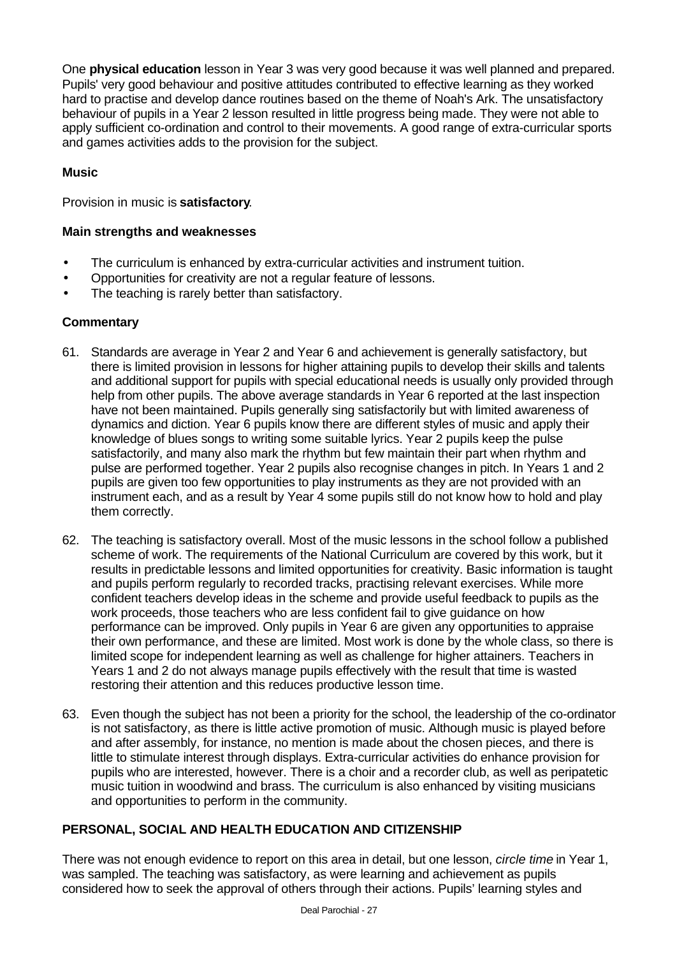One **physical education** lesson in Year 3 was very good because it was well planned and prepared. Pupils' very good behaviour and positive attitudes contributed to effective learning as they worked hard to practise and develop dance routines based on the theme of Noah's Ark. The unsatisfactory behaviour of pupils in a Year 2 lesson resulted in little progress being made. They were not able to apply sufficient co-ordination and control to their movements. A good range of extra-curricular sports and games activities adds to the provision for the subject.

### **Music**

Provision in music is **satisfactory**.

#### **Main strengths and weaknesses**

- The curriculum is enhanced by extra-curricular activities and instrument tuition.
- Opportunities for creativity are not a regular feature of lessons.
- The teaching is rarely better than satisfactory.

#### **Commentary**

- 61. Standards are average in Year 2 and Year 6 and achievement is generally satisfactory, but there is limited provision in lessons for higher attaining pupils to develop their skills and talents and additional support for pupils with special educational needs is usually only provided through help from other pupils. The above average standards in Year 6 reported at the last inspection have not been maintained. Pupils generally sing satisfactorily but with limited awareness of dynamics and diction. Year 6 pupils know there are different styles of music and apply their knowledge of blues songs to writing some suitable lyrics. Year 2 pupils keep the pulse satisfactorily, and many also mark the rhythm but few maintain their part when rhythm and pulse are performed together. Year 2 pupils also recognise changes in pitch. In Years 1 and 2 pupils are given too few opportunities to play instruments as they are not provided with an instrument each, and as a result by Year 4 some pupils still do not know how to hold and play them correctly.
- 62. The teaching is satisfactory overall. Most of the music lessons in the school follow a published scheme of work. The requirements of the National Curriculum are covered by this work, but it results in predictable lessons and limited opportunities for creativity. Basic information is taught and pupils perform regularly to recorded tracks, practising relevant exercises. While more confident teachers develop ideas in the scheme and provide useful feedback to pupils as the work proceeds, those teachers who are less confident fail to give guidance on how performance can be improved. Only pupils in Year 6 are given any opportunities to appraise their own performance, and these are limited. Most work is done by the whole class, so there is limited scope for independent learning as well as challenge for higher attainers. Teachers in Years 1 and 2 do not always manage pupils effectively with the result that time is wasted restoring their attention and this reduces productive lesson time.
- 63. Even though the subject has not been a priority for the school, the leadership of the co-ordinator is not satisfactory, as there is little active promotion of music. Although music is played before and after assembly, for instance, no mention is made about the chosen pieces, and there is little to stimulate interest through displays. Extra-curricular activities do enhance provision for pupils who are interested, however. There is a choir and a recorder club, as well as peripatetic music tuition in woodwind and brass. The curriculum is also enhanced by visiting musicians and opportunities to perform in the community.

## **PERSONAL, SOCIAL AND HEALTH EDUCATION AND CITIZENSHIP**

There was not enough evidence to report on this area in detail, but one lesson, *circle time* in Year 1, was sampled. The teaching was satisfactory, as were learning and achievement as pupils considered how to seek the approval of others through their actions. Pupils' learning styles and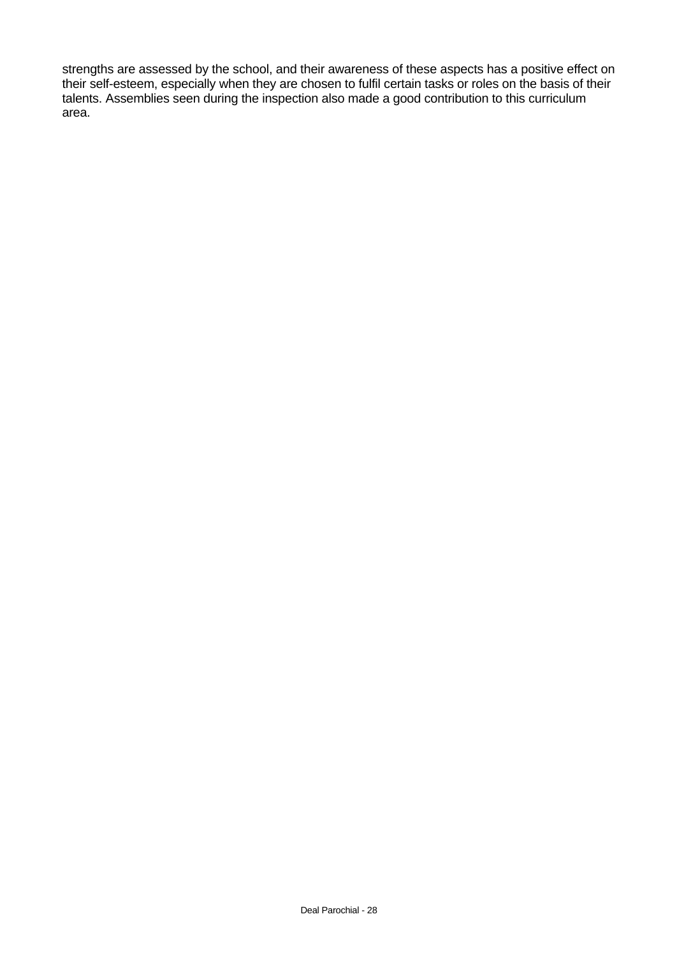strengths are assessed by the school, and their awareness of these aspects has a positive effect on their self-esteem, especially when they are chosen to fulfil certain tasks or roles on the basis of their talents. Assemblies seen during the inspection also made a good contribution to this curriculum area.